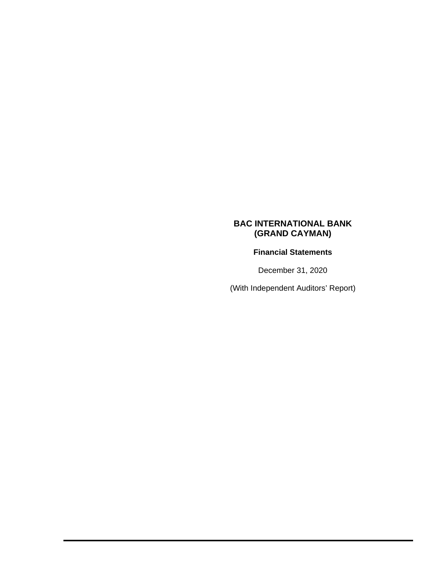# **Financial Statements**

December 31, 2020

(With Independent Auditors' Report)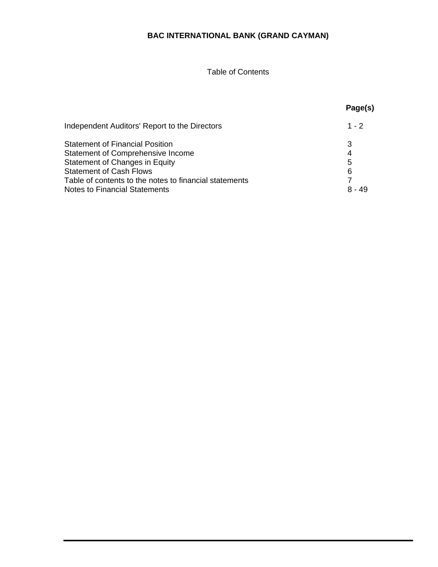# Table of Contents

|                                                                                                                                                                                                                                                          | Page(s)                      |
|----------------------------------------------------------------------------------------------------------------------------------------------------------------------------------------------------------------------------------------------------------|------------------------------|
| Independent Auditors' Report to the Directors                                                                                                                                                                                                            | $1 - 2$                      |
| <b>Statement of Financial Position</b><br><b>Statement of Comprehensive Income</b><br>Statement of Changes in Equity<br><b>Statement of Cash Flows</b><br>Table of contents to the notes to financial statements<br><b>Notes to Financial Statements</b> | 3<br>4<br>5<br>6<br>$8 - 49$ |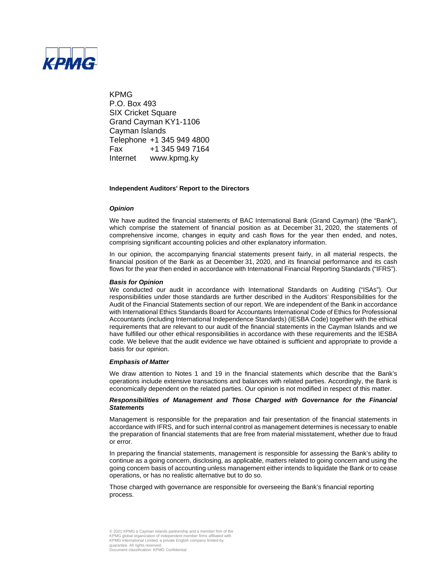

KPMG P.O. Box 493 **SIX Cricket Square** Grand Cayman KY1-1106 Cayman Islands Telephone +1 345 949 4800 Fax +1 345 949 7164 Internet www.kpmg.ky

#### **Independent Auditors' Report to the Directors**

#### *Opinion*

We have audited the financial statements of BAC International Bank (Grand Cayman) (the "Bank"), which comprise the statement of financial position as at December 31, 2020, the statements of comprehensive income, changes in equity and cash flows for the year then ended, and notes, comprising significant accounting policies and other explanatory information.

In our opinion, the accompanying financial statements present fairly, in all material respects, the financial position of the Bank as at December 31, 2020, and its financial performance and its cash flows for the year then ended in accordance with International Financial Reporting Standards ("IFRS").

#### *Basis for Opinion*

We conducted our audit in accordance with International Standards on Auditing ("ISAs"). Our responsibilities under those standards are further described in the Auditors' Responsibilities for the Audit of the Financial Statements section of our report. We are independent of the Bank in accordance with International Ethics Standards Board for Accountants International Code of Ethics for Professional Accountants (including International Independence Standards) (IESBA Code) together with the ethical requirements that are relevant to our audit of the financial statements in the Cayman Islands and we have fulfilled our other ethical responsibilities in accordance with these requirements and the IESBA code. We believe that the audit evidence we have obtained is sufficient and appropriate to provide a basis for our opinion.

#### *Emphasis of Matter*

We draw attention to Notes 1 and 19 in the financial statements which describe that the Bank's operations include extensive transactions and balances with related parties. Accordingly, the Bank is economically dependent on the related parties. Our opinion is not modified in respect of this matter.

#### *Responsibilities of Management and Those Charged with Governance for the Financial Statements*

Management is responsible for the preparation and fair presentation of the financial statements in accordance with IFRS, and for such internal control as management determines is necessary to enable the preparation of financial statements that are free from material misstatement, whether due to fraud or error.

In preparing the financial statements, management is responsible for assessing the Bank's ability to continue as a going concern, disclosing, as applicable, matters related to going concern and using the going concern basis of accounting unless management either intends to liquidate the Bank or to cease operations, or has no realistic alternative but to do so.

Those charged with governance are responsible for overseeing the Bank's financial reporting process.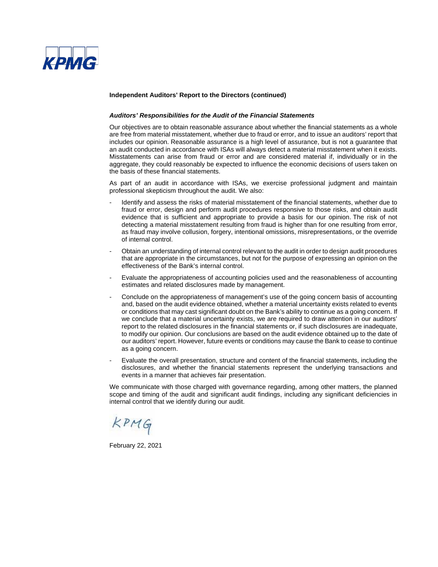

#### **Independent Auditors' Report to the Directors (continued)**

#### *Auditors' Responsibilities for the Audit of the Financial Statements*

Our objectives are to obtain reasonable assurance about whether the financial statements as a whole are free from material misstatement, whether due to fraud or error, and to issue an auditors' report that includes our opinion. Reasonable assurance is a high level of assurance, but is not a guarantee that an audit conducted in accordance with ISAs will always detect a material misstatement when it exists. Misstatements can arise from fraud or error and are considered material if, individually or in the aggregate, they could reasonably be expected to influence the economic decisions of users taken on the basis of these financial statements.

As part of an audit in accordance with ISAs, we exercise professional judgment and maintain professional skepticism throughout the audit. We also:

- Identify and assess the risks of material misstatement of the financial statements, whether due to fraud or error, design and perform audit procedures responsive to those risks, and obtain audit evidence that is sufficient and appropriate to provide a basis for our opinion. The risk of not detecting a material misstatement resulting from fraud is higher than for one resulting from error, as fraud may involve collusion, forgery, intentional omissions, misrepresentations, or the override of internal control.
- Obtain an understanding of internal control relevant to the audit in order to design audit procedures that are appropriate in the circumstances, but not for the purpose of expressing an opinion on the effectiveness of the Bank's internal control.
- Evaluate the appropriateness of accounting policies used and the reasonableness of accounting estimates and related disclosures made by management.
- Conclude on the appropriateness of management's use of the going concern basis of accounting and, based on the audit evidence obtained, whether a material uncertainty exists related to events or conditions that may cast significant doubt on the Bank's ability to continue as a going concern. If we conclude that a material uncertainty exists, we are required to draw attention in our auditors' report to the related disclosures in the financial statements or, if such disclosures are inadequate, to modify our opinion. Our conclusions are based on the audit evidence obtained up to the date of our auditors' report. However, future events or conditions may cause the Bank to cease to continue as a going concern.
- Evaluate the overall presentation, structure and content of the financial statements, including the disclosures, and whether the financial statements represent the underlying transactions and events in a manner that achieves fair presentation.

We communicate with those charged with governance regarding, among other matters, the planned scope and timing of the audit and significant audit findings, including any significant deficiencies in internal control that we identify during our audit.

KPMG

February 22, 2021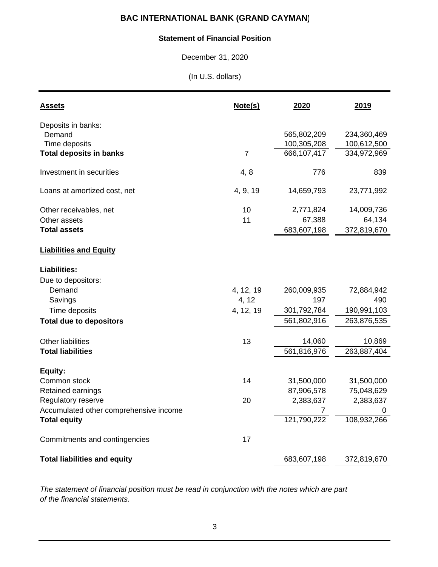### **Statement of Financial Position**

December 31, 2020

(In U.S. dollars)

| <b>Assets</b>                           | Note(s)        | 2020                       | 2019                     |
|-----------------------------------------|----------------|----------------------------|--------------------------|
| Deposits in banks:                      |                |                            |                          |
| Demand                                  |                | 565,802,209                | 234,360,469              |
| Time deposits                           |                | 100,305,208<br>666,107,417 | 100,612,500              |
| <b>Total deposits in banks</b>          | $\overline{7}$ |                            | 334,972,969              |
| Investment in securities                | 4, 8           | 776                        | 839                      |
| Loans at amortized cost, net            | 4, 9, 19       | 14,659,793                 | 23,771,992               |
| Other receivables, net                  | 10             | 2,771,824                  | 14,009,736               |
| Other assets                            | 11             | 67,388                     | 64,134                   |
| <b>Total assets</b>                     |                | 683,607,198                | 372,819,670              |
| <b>Liabilities and Equity</b>           |                |                            |                          |
| <b>Liabilities:</b>                     |                |                            |                          |
| Due to depositors:                      |                |                            |                          |
| Demand                                  | 4, 12, 19      | 260,009,935                | 72,884,942               |
| Savings                                 | 4, 12          | 197                        | 490                      |
| Time deposits                           | 4, 12, 19      | 301,792,784                | 190,991,103              |
| <b>Total due to depositors</b>          |                | 561,802,916                | 263,876,535              |
| Other liabilities                       | 13             | 14,060                     | 10,869                   |
| <b>Total liabilities</b>                |                | 561,816,976                | 263,887,404              |
|                                         |                |                            |                          |
| Equity:                                 |                |                            |                          |
| Common stock                            | 14             | 31,500,000<br>87,906,578   | 31,500,000<br>75,048,629 |
| Retained earnings<br>Regulatory reserve | 20             | 2,383,637                  | 2,383,637                |
| Accumulated other comprehensive income  |                | 7                          | 0                        |
| <b>Total equity</b>                     |                | 121,790,222                | 108,932,266              |
|                                         |                |                            |                          |
| Commitments and contingencies           | 17             |                            |                          |
| <b>Total liabilities and equity</b>     |                | 683,607,198                | 372,819,670              |

*The statement of financial position must be read in conjunction with the notes which are part of the financial statements.*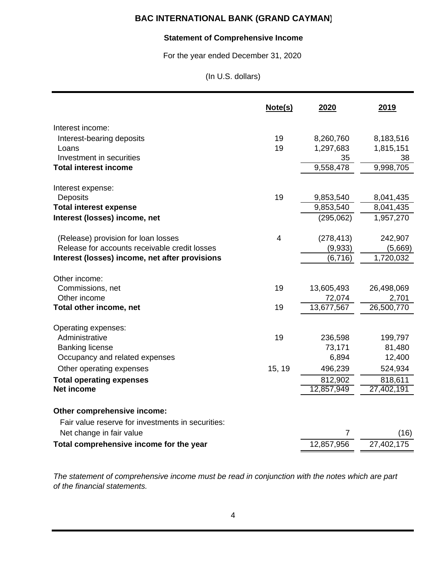## **Statement of Comprehensive Income**

For the year ended December 31, 2020

(In U.S. dollars)

|                                                   | Note(s) | 2020       | 2019       |
|---------------------------------------------------|---------|------------|------------|
| Interest income:                                  |         |            |            |
| Interest-bearing deposits                         | 19      | 8,260,760  | 8,183,516  |
| Loans                                             | 19      | 1,297,683  | 1,815,151  |
| Investment in securities                          |         | 35         | 38         |
| <b>Total interest income</b>                      |         | 9,558,478  | 9,998,705  |
| Interest expense:                                 |         |            |            |
| <b>Deposits</b>                                   | 19      | 9,853,540  | 8,041,435  |
| <b>Total interest expense</b>                     |         | 9,853,540  | 8,041,435  |
| Interest (losses) income, net                     |         | (295,062)  | 1,957,270  |
| (Release) provision for loan losses               | 4       | (278, 413) | 242,907    |
| Release for accounts receivable credit losses     |         | (9,933)    | (5,669)    |
| Interest (losses) income, net after provisions    |         | (6, 716)   | 1,720,032  |
| Other income:                                     |         |            |            |
| Commissions, net                                  | 19      | 13,605,493 | 26,498,069 |
| Other income                                      |         | 72,074     | 2,701      |
| Total other income, net                           | 19      | 13,677,567 | 26,500,770 |
| Operating expenses:                               |         |            |            |
| Administrative                                    | 19      | 236,598    | 199,797    |
| <b>Banking license</b>                            |         | 73,171     | 81,480     |
| Occupancy and related expenses                    |         | 6,894      | 12,400     |
| Other operating expenses                          | 15, 19  | 496,239    | 524,934    |
| <b>Total operating expenses</b>                   |         | 812,902    | 818,611    |
| <b>Net income</b>                                 |         | 12,857,949 | 27,402,191 |
| Other comprehensive income:                       |         |            |            |
| Fair value reserve for investments in securities: |         |            |            |
| Net change in fair value                          |         | 7          | (16)       |
| Total comprehensive income for the year           |         | 12,857,956 | 27,402,175 |

*The statement of comprehensive income must be read in conjunction with the notes which are part of the financial statements.*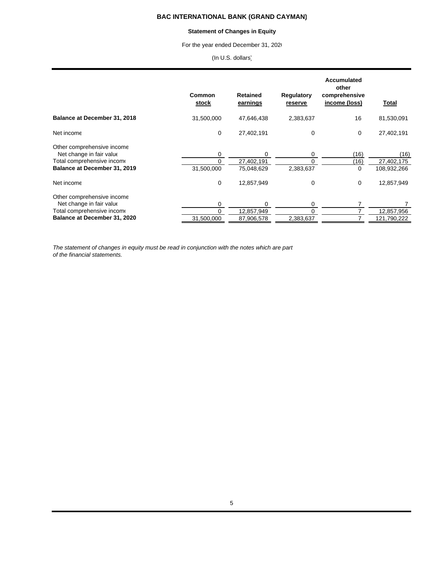#### **Statement of Changes in Equity**

For the year ended December 31, 2020

(In U.S. dollars)

|                                                                                                                             | Common<br>stock | <b>Retained</b><br>earnings          | <b>Regulatory</b><br>reserve | Accumulated<br>other<br>comprehensive<br>income (loss) | Total                             |
|-----------------------------------------------------------------------------------------------------------------------------|-----------------|--------------------------------------|------------------------------|--------------------------------------------------------|-----------------------------------|
| Balance at December 31, 2018                                                                                                | 31,500,000      | 47,646,438                           | 2,383,637                    | 16                                                     | 81,530,091                        |
| Net income                                                                                                                  | $\mathbf 0$     | 27,402,191                           | 0                            | $\mathbf 0$                                            | 27,402,191                        |
| Other comprehensive income<br>Net change in fair value<br>Total comprehensive income<br>Balance at December 31, 2019        | 0<br>31,500,000 | 0<br>27,402,191<br>75,048,629        | 0<br>0<br>2,383,637          | (16)<br>(16)<br>0                                      | (16)<br>27,402,175<br>108,932,266 |
| Net income                                                                                                                  | $\Omega$        | 12,857,949                           | 0                            | $\mathbf 0$                                            | 12,857,949                        |
| Other comprehensive income<br>Net change in fair value<br>Total comprehensive income<br><b>Balance at December 31, 2020</b> | 0<br>31.500.000 | $\Omega$<br>12,857,949<br>87,906,578 | 0<br>$\Omega$<br>2,383,637   |                                                        | 12,857,956<br>121,790,222         |

*The statement of changes in equity must be read in conjunction with the notes which are part of the financial statements.*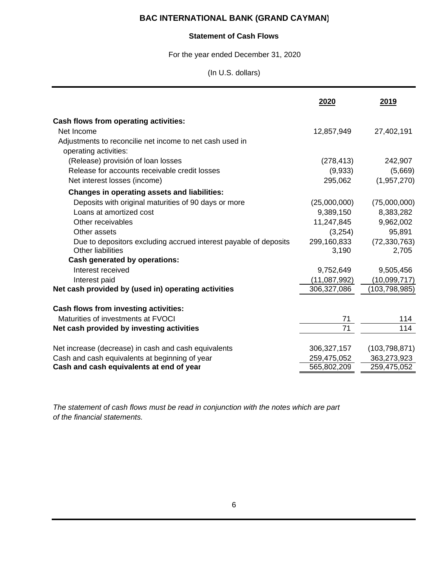### **Statement of Cash Flows**

For the year ended December 31, 2020

(In U.S. dollars)

|                                                                  | 2020          | 2019            |
|------------------------------------------------------------------|---------------|-----------------|
| <b>Cash flows from operating activities:</b>                     |               |                 |
| Net Income                                                       | 12,857,949    | 27,402,191      |
| Adjustments to reconcilie net income to net cash used in         |               |                 |
| operating activities:                                            |               |                 |
| (Release) provisión of loan losses                               | (278, 413)    | 242,907         |
| Release for accounts receivable credit losses                    | (9,933)       | (5,669)         |
| Net interest losses (income)                                     | 295,062       | (1,957,270)     |
| <b>Changes in operating assets and liabilities:</b>              |               |                 |
| Deposits with original maturities of 90 days or more             | (25,000,000)  | (75,000,000)    |
| Loans at amortized cost                                          | 9,389,150     | 8,383,282       |
| Other receivables                                                | 11,247,845    | 9,962,002       |
| Other assets                                                     | (3,254)       | 95,891          |
| Due to depositors excluding accrued interest payable of deposits | 299,160,833   | (72, 330, 763)  |
| <b>Other liabilities</b>                                         | 3,190         | 2,705           |
| <b>Cash generated by operations:</b>                             |               |                 |
| Interest received                                                | 9,752,649     | 9,505,456       |
| Interest paid                                                    | (11,087,992)  | (10,099,717)    |
| Net cash provided by (used in) operating activities              | 306,327,086   | (103, 798, 985) |
|                                                                  |               |                 |
| Cash flows from investing activities:                            |               |                 |
| Maturities of investments at FVOCI                               | 71            | 114             |
| Net cash provided by investing activities                        | 71            | 114             |
| Net increase (decrease) in cash and cash equivalents             | 306, 327, 157 | (103, 798, 871) |
| Cash and cash equivalents at beginning of year                   | 259,475,052   | 363,273,923     |
| Cash and cash equivalents at end of year                         | 565,802,209   | 259,475,052     |

*The statement of cash flows must be read in conjunction with the notes which are part of the financial statements.*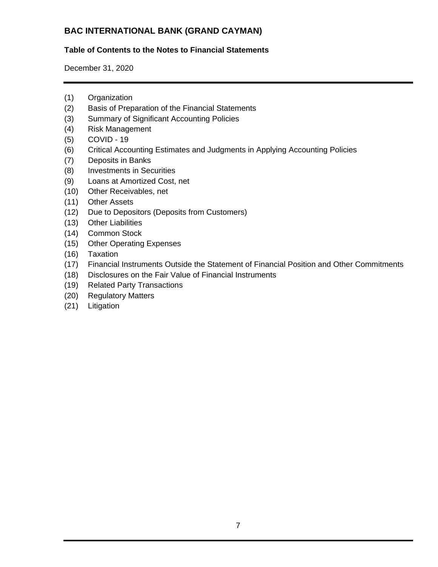## **Table of Contents to the Notes to Financial Statements**

December 31, 2020

- (1) Organization
- (2) Basis of Preparation of the Financial Statements
- (3) Summary of Significant Accounting Policies
- (4) Risk Management
- (5) COVID 19
- (6) Critical Accounting Estimates and Judgments in Applying Accounting Policies
- (7) Deposits in Banks
- (8) Investments in Securities
- (9) Loans at Amortized Cost, net
- (10) Other Receivables, net
- (11) Other Assets
- (12) Due to Depositors (Deposits from Customers)
- (13) Other Liabilities
- (14) Common Stock
- (15) Other Operating Expenses
- (16) Taxation
- (17) Financial Instruments Outside the Statement of Financial Position and Other Commitments
- (18) Disclosures on the Fair Value of Financial Instruments
- (19) Related Party Transactions
- (20) Regulatory Matters
- (21) Litigation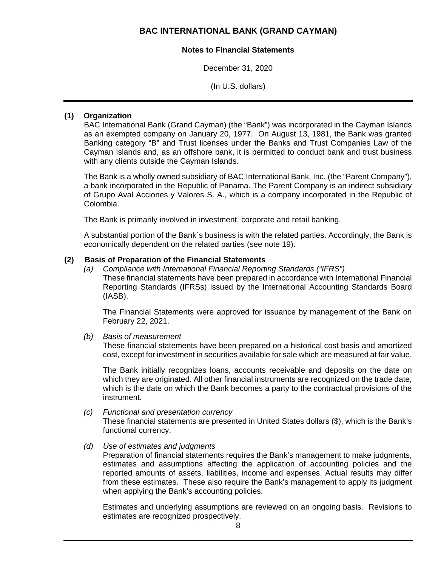### **Notes to Financial Statements**

December 31, 2020

(In U.S. dollars)

## **(1) Organization**

BAC International Bank (Grand Cayman) (the "Bank") was incorporated in the Cayman Islands as an exempted company on January 20, 1977. On August 13, 1981, the Bank was granted Banking category "B" and Trust licenses under the Banks and Trust Companies Law of the Cayman Islands and, as an offshore bank, it is permitted to conduct bank and trust business with any clients outside the Cayman Islands.

The Bank is a wholly owned subsidiary of BAC International Bank, Inc. (the "Parent Company"), a bank incorporated in the Republic of Panama. The Parent Company is an indirect subsidiary of Grupo Aval Acciones y Valores S. A., which is a company incorporated in the Republic of Colombia.

The Bank is primarily involved in investment, corporate and retail banking.

A substantial portion of the Bank´s business is with the related parties. Accordingly, the Bank is economically dependent on the related parties (see note 19).

### **(2) Basis of Preparation of the Financial Statements**

*(a) Compliance with International Financial Reporting Standards ("IFRS")*  These financial statements have been prepared in accordance with International Financial Reporting Standards (IFRSs) issued by the International Accounting Standards Board (IASB).

The Financial Statements were approved for issuance by management of the Bank on February 22, 2021.

*(b) Basis of measurement* 

These financial statements have been prepared on a historical cost basis and amortized cost, except for investment in securities available for sale which are measured at fair value.

The Bank initially recognizes loans, accounts receivable and deposits on the date on which they are originated. All other financial instruments are recognized on the trade date, which is the date on which the Bank becomes a party to the contractual provisions of the instrument.

### *(c) Functional and presentation currency*

These financial statements are presented in United States dollars (\$), which is the Bank's functional currency.

### *(d) Use of estimates and judgments*

Preparation of financial statements requires the Bank's management to make judgments, estimates and assumptions affecting the application of accounting policies and the reported amounts of assets, liabilities, income and expenses. Actual results may differ from these estimates. These also require the Bank's management to apply its judgment when applying the Bank's accounting policies.

Estimates and underlying assumptions are reviewed on an ongoing basis. Revisions to estimates are recognized prospectively.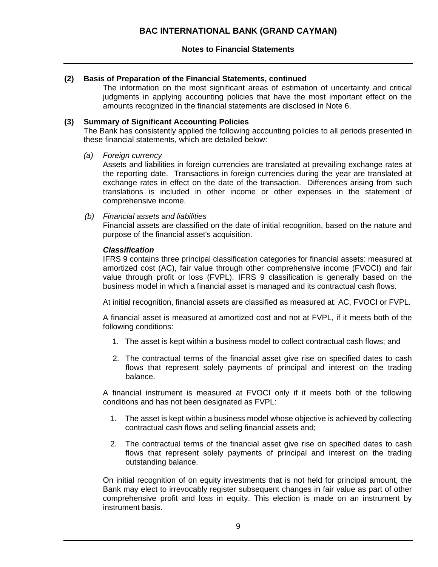### **(2) Basis of Preparation of the Financial Statements, continued**

The information on the most significant areas of estimation of uncertainty and critical judgments in applying accounting policies that have the most important effect on the amounts recognized in the financial statements are disclosed in Note 6.

### **(3) Summary of Significant Accounting Policies**

The Bank has consistently applied the following accounting policies to all periods presented in these financial statements, which are detailed below:

*(a) Foreign currency* 

Assets and liabilities in foreign currencies are translated at prevailing exchange rates at the reporting date. Transactions in foreign currencies during the year are translated at exchange rates in effect on the date of the transaction. Differences arising from such translations is included in other income or other expenses in the statement of comprehensive income.

*(b) Financial assets and liabilities* 

Financial assets are classified on the date of initial recognition, based on the nature and purpose of the financial asset's acquisition.

### *Classification*

IFRS 9 contains three principal classification categories for financial assets: measured at amortized cost (AC), fair value through other comprehensive income (FVOCI) and fair value through profit or loss (FVPL). IFRS 9 classification is generally based on the business model in which a financial asset is managed and its contractual cash flows.

At initial recognition, financial assets are classified as measured at: AC, FVOCI or FVPL.

A financial asset is measured at amortized cost and not at FVPL, if it meets both of the following conditions:

- 1. The asset is kept within a business model to collect contractual cash flows; and
- 2. The contractual terms of the financial asset give rise on specified dates to cash flows that represent solely payments of principal and interest on the trading balance.

A financial instrument is measured at FVOCI only if it meets both of the following conditions and has not been designated as FVPL:

- 1. The asset is kept within a business model whose objective is achieved by collecting contractual cash flows and selling financial assets and;
- 2. The contractual terms of the financial asset give rise on specified dates to cash flows that represent solely payments of principal and interest on the trading outstanding balance.

On initial recognition of on equity investments that is not held for principal amount, the Bank may elect to irrevocably register subsequent changes in fair value as part of other comprehensive profit and loss in equity. This election is made on an instrument by instrument basis.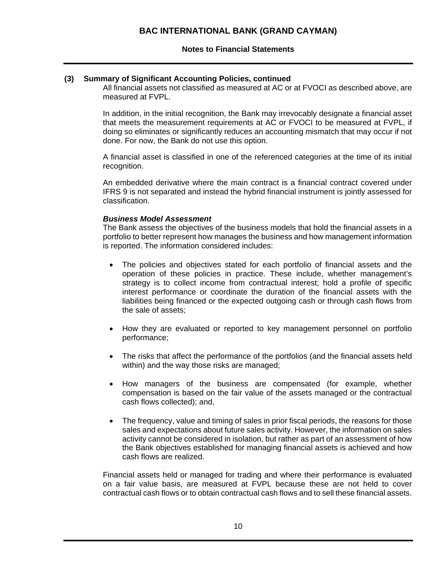### **(3) Summary of Significant Accounting Policies, continued**

All financial assets not classified as measured at AC or at FVOCI as described above, are measured at FVPL.

In addition, in the initial recognition, the Bank may irrevocably designate a financial asset that meets the measurement requirements at AC or FVOCI to be measured at FVPL, if doing so eliminates or significantly reduces an accounting mismatch that may occur if not done. For now, the Bank do not use this option.

A financial asset is classified in one of the referenced categories at the time of its initial recognition.

An embedded derivative where the main contract is a financial contract covered under IFRS 9 is not separated and instead the hybrid financial instrument is jointly assessed for classification.

### *Business Model Assessment*

The Bank assess the objectives of the business models that hold the financial assets in a portfolio to better represent how manages the business and how management information is reported. The information considered includes:

- The policies and objectives stated for each portfolio of financial assets and the operation of these policies in practice. These include, whether management's strategy is to collect income from contractual interest; hold a profile of specific interest performance or coordinate the duration of the financial assets with the liabilities being financed or the expected outgoing cash or through cash flows from the sale of assets;
- How they are evaluated or reported to key management personnel on portfolio performance;
- The risks that affect the performance of the portfolios (and the financial assets held within) and the way those risks are managed;
- How managers of the business are compensated (for example, whether compensation is based on the fair value of the assets managed or the contractual cash flows collected); and,
- The frequency, value and timing of sales in prior fiscal periods, the reasons for those sales and expectations about future sales activity. However, the information on sales activity cannot be considered in isolation, but rather as part of an assessment of how the Bank objectives established for managing financial assets is achieved and how cash flows are realized.

Financial assets held or managed for trading and where their performance is evaluated on a fair value basis, are measured at FVPL because these are not held to cover contractual cash flows or to obtain contractual cash flows and to sell these financial assets.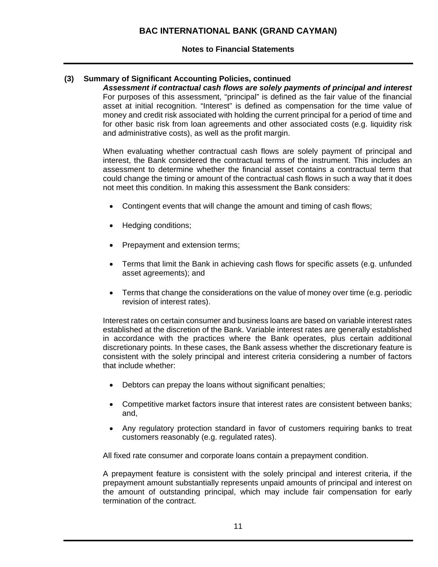## **(3) Summary of Significant Accounting Policies, continued**

*Assessment if contractual cash flows are solely payments of principal and interest*  For purposes of this assessment, "principal" is defined as the fair value of the financial asset at initial recognition. "Interest" is defined as compensation for the time value of money and credit risk associated with holding the current principal for a period of time and for other basic risk from loan agreements and other associated costs (e.g. liquidity risk and administrative costs), as well as the profit margin.

When evaluating whether contractual cash flows are solely payment of principal and interest, the Bank considered the contractual terms of the instrument. This includes an assessment to determine whether the financial asset contains a contractual term that could change the timing or amount of the contractual cash flows in such a way that it does not meet this condition. In making this assessment the Bank considers:

- Contingent events that will change the amount and timing of cash flows;
- Hedging conditions;
- Prepayment and extension terms;
- Terms that limit the Bank in achieving cash flows for specific assets (e.g. unfunded asset agreements); and
- Terms that change the considerations on the value of money over time (e.g. periodic revision of interest rates).

Interest rates on certain consumer and business loans are based on variable interest rates established at the discretion of the Bank. Variable interest rates are generally established in accordance with the practices where the Bank operates, plus certain additional discretionary points. In these cases, the Bank assess whether the discretionary feature is consistent with the solely principal and interest criteria considering a number of factors that include whether:

- Debtors can prepay the loans without significant penalties;
- Competitive market factors insure that interest rates are consistent between banks; and,
- Any regulatory protection standard in favor of customers requiring banks to treat customers reasonably (e.g. regulated rates).

All fixed rate consumer and corporate loans contain a prepayment condition.

A prepayment feature is consistent with the solely principal and interest criteria, if the prepayment amount substantially represents unpaid amounts of principal and interest on the amount of outstanding principal, which may include fair compensation for early termination of the contract.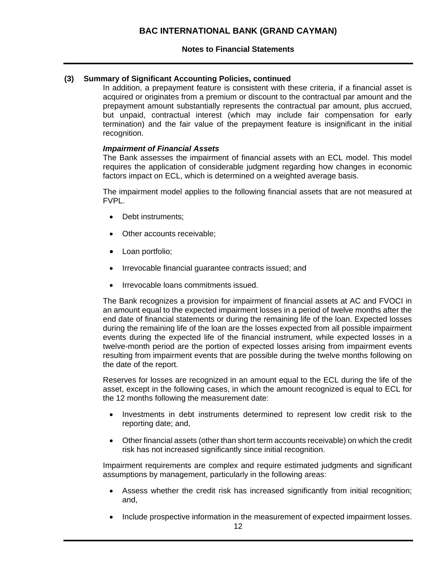### **(3) Summary of Significant Accounting Policies, continued**

In addition, a prepayment feature is consistent with these criteria, if a financial asset is acquired or originates from a premium or discount to the contractual par amount and the prepayment amount substantially represents the contractual par amount, plus accrued, but unpaid, contractual interest (which may include fair compensation for early termination) and the fair value of the prepayment feature is insignificant in the initial recognition.

### *Impairment of Financial Assets*

The Bank assesses the impairment of financial assets with an ECL model. This model requires the application of considerable judgment regarding how changes in economic factors impact on ECL, which is determined on a weighted average basis.

The impairment model applies to the following financial assets that are not measured at FVPL.

- Debt instruments;
- Other accounts receivable;
- Loan portfolio;
- Irrevocable financial guarantee contracts issued; and
- Irrevocable loans commitments issued.

The Bank recognizes a provision for impairment of financial assets at AC and FVOCI in an amount equal to the expected impairment losses in a period of twelve months after the end date of financial statements or during the remaining life of the loan. Expected losses during the remaining life of the loan are the losses expected from all possible impairment events during the expected life of the financial instrument, while expected losses in a twelve-month period are the portion of expected losses arising from impairment events resulting from impairment events that are possible during the twelve months following on the date of the report.

Reserves for losses are recognized in an amount equal to the ECL during the life of the asset, except in the following cases, in which the amount recognized is equal to ECL for the 12 months following the measurement date:

- Investments in debt instruments determined to represent low credit risk to the reporting date; and,
- Other financial assets (other than short term accounts receivable) on which the credit risk has not increased significantly since initial recognition.

Impairment requirements are complex and require estimated judgments and significant assumptions by management, particularly in the following areas:

- Assess whether the credit risk has increased significantly from initial recognition; and,
- Include prospective information in the measurement of expected impairment losses.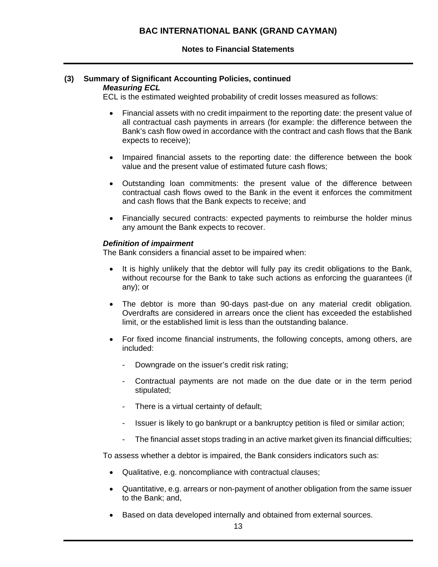#### **(3) Summary of Significant Accounting Policies, continued**  *Measuring ECL*

ECL is the estimated weighted probability of credit losses measured as follows:

- Financial assets with no credit impairment to the reporting date: the present value of all contractual cash payments in arrears (for example: the difference between the Bank's cash flow owed in accordance with the contract and cash flows that the Bank expects to receive);
- Impaired financial assets to the reporting date: the difference between the book value and the present value of estimated future cash flows;
- Outstanding loan commitments: the present value of the difference between contractual cash flows owed to the Bank in the event it enforces the commitment and cash flows that the Bank expects to receive; and
- Financially secured contracts: expected payments to reimburse the holder minus any amount the Bank expects to recover.

### *Definition of impairment*

The Bank considers a financial asset to be impaired when:

- It is highly unlikely that the debtor will fully pay its credit obligations to the Bank, without recourse for the Bank to take such actions as enforcing the guarantees (if any); or
- The debtor is more than 90-days past-due on any material credit obligation. Overdrafts are considered in arrears once the client has exceeded the established limit, or the established limit is less than the outstanding balance.
- For fixed income financial instruments, the following concepts, among others, are included:
	- Downgrade on the issuer's credit risk rating;
	- Contractual payments are not made on the due date or in the term period stipulated;
	- There is a virtual certainty of default:
	- Issuer is likely to go bankrupt or a bankruptcy petition is filed or similar action;
	- The financial asset stops trading in an active market given its financial difficulties;

To assess whether a debtor is impaired, the Bank considers indicators such as:

- Qualitative, e.g. noncompliance with contractual clauses;
- Quantitative, e.g. arrears or non-payment of another obligation from the same issuer to the Bank; and,
- Based on data developed internally and obtained from external sources.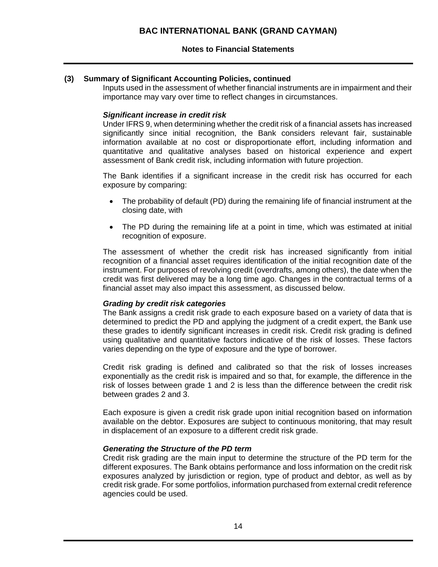## **(3) Summary of Significant Accounting Policies, continued**

Inputs used in the assessment of whether financial instruments are in impairment and their importance may vary over time to reflect changes in circumstances.

### *Significant increase in credit risk*

Under IFRS 9, when determining whether the credit risk of a financial assets has increased significantly since initial recognition, the Bank considers relevant fair, sustainable information available at no cost or disproportionate effort, including information and quantitative and qualitative analyses based on historical experience and expert assessment of Bank credit risk, including information with future projection.

The Bank identifies if a significant increase in the credit risk has occurred for each exposure by comparing:

- The probability of default (PD) during the remaining life of financial instrument at the closing date, with
- The PD during the remaining life at a point in time, which was estimated at initial recognition of exposure.

The assessment of whether the credit risk has increased significantly from initial recognition of a financial asset requires identification of the initial recognition date of the instrument. For purposes of revolving credit (overdrafts, among others), the date when the credit was first delivered may be a long time ago. Changes in the contractual terms of a financial asset may also impact this assessment, as discussed below.

### *Grading by credit risk categories*

The Bank assigns a credit risk grade to each exposure based on a variety of data that is determined to predict the PD and applying the judgment of a credit expert, the Bank use these grades to identify significant increases in credit risk. Credit risk grading is defined using qualitative and quantitative factors indicative of the risk of losses. These factors varies depending on the type of exposure and the type of borrower.

Credit risk grading is defined and calibrated so that the risk of losses increases exponentially as the credit risk is impaired and so that, for example, the difference in the risk of losses between grade 1 and 2 is less than the difference between the credit risk between grades 2 and 3.

Each exposure is given a credit risk grade upon initial recognition based on information available on the debtor. Exposures are subject to continuous monitoring, that may result in displacement of an exposure to a different credit risk grade.

### *Generating the Structure of the PD term*

Credit risk grading are the main input to determine the structure of the PD term for the different exposures. The Bank obtains performance and loss information on the credit risk exposures analyzed by jurisdiction or region, type of product and debtor, as well as by credit risk grade. For some portfolios, information purchased from external credit reference agencies could be used.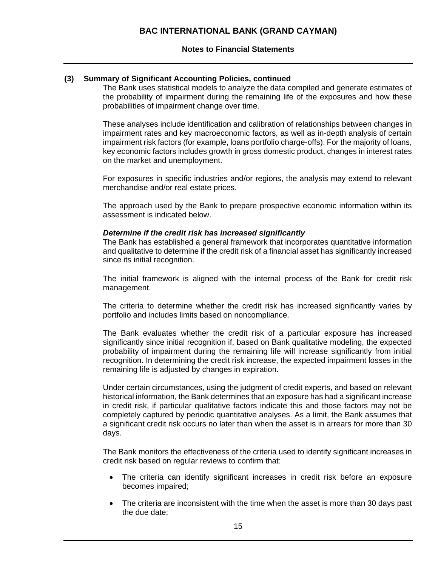### **(3) Summary of Significant Accounting Policies, continued**

The Bank uses statistical models to analyze the data compiled and generate estimates of the probability of impairment during the remaining life of the exposures and how these probabilities of impairment change over time.

These analyses include identification and calibration of relationships between changes in impairment rates and key macroeconomic factors, as well as in-depth analysis of certain impairment risk factors (for example, loans portfolio charge-offs). For the majority of loans, key economic factors includes growth in gross domestic product, changes in interest rates on the market and unemployment.

For exposures in specific industries and/or regions, the analysis may extend to relevant merchandise and/or real estate prices.

The approach used by the Bank to prepare prospective economic information within its assessment is indicated below.

### *Determine if the credit risk has increased significantly*

The Bank has established a general framework that incorporates quantitative information and qualitative to determine if the credit risk of a financial asset has significantly increased since its initial recognition.

The initial framework is aligned with the internal process of the Bank for credit risk management.

The criteria to determine whether the credit risk has increased significantly varies by portfolio and includes limits based on noncompliance.

The Bank evaluates whether the credit risk of a particular exposure has increased significantly since initial recognition if, based on Bank qualitative modeling, the expected probability of impairment during the remaining life will increase significantly from initial recognition. In determining the credit risk increase, the expected impairment losses in the remaining life is adjusted by changes in expiration.

Under certain circumstances, using the judgment of credit experts, and based on relevant historical information, the Bank determines that an exposure has had a significant increase in credit risk, if particular qualitative factors indicate this and those factors may not be completely captured by periodic quantitative analyses. As a limit, the Bank assumes that a significant credit risk occurs no later than when the asset is in arrears for more than 30 days.

The Bank monitors the effectiveness of the criteria used to identify significant increases in credit risk based on regular reviews to confirm that:

- The criteria can identify significant increases in credit risk before an exposure becomes impaired;
- The criteria are inconsistent with the time when the asset is more than 30 days past the due date;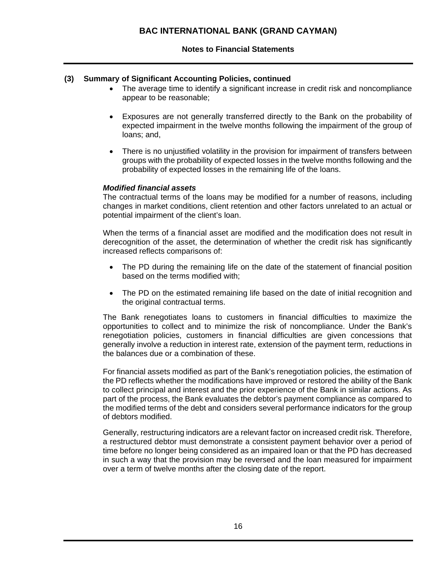### **(3) Summary of Significant Accounting Policies, continued**

- The average time to identify a significant increase in credit risk and noncompliance appear to be reasonable;
- Exposures are not generally transferred directly to the Bank on the probability of expected impairment in the twelve months following the impairment of the group of loans; and,
- There is no unjustified volatility in the provision for impairment of transfers between groups with the probability of expected losses in the twelve months following and the probability of expected losses in the remaining life of the loans.

### *Modified financial assets*

The contractual terms of the loans may be modified for a number of reasons, including changes in market conditions, client retention and other factors unrelated to an actual or potential impairment of the client's loan.

When the terms of a financial asset are modified and the modification does not result in derecognition of the asset, the determination of whether the credit risk has significantly increased reflects comparisons of:

- The PD during the remaining life on the date of the statement of financial position based on the terms modified with;
- The PD on the estimated remaining life based on the date of initial recognition and the original contractual terms.

The Bank renegotiates loans to customers in financial difficulties to maximize the opportunities to collect and to minimize the risk of noncompliance. Under the Bank's renegotiation policies, customers in financial difficulties are given concessions that generally involve a reduction in interest rate, extension of the payment term, reductions in the balances due or a combination of these.

For financial assets modified as part of the Bank's renegotiation policies, the estimation of the PD reflects whether the modifications have improved or restored the ability of the Bank to collect principal and interest and the prior experience of the Bank in similar actions. As part of the process, the Bank evaluates the debtor's payment compliance as compared to the modified terms of the debt and considers several performance indicators for the group of debtors modified.

Generally, restructuring indicators are a relevant factor on increased credit risk. Therefore, a restructured debtor must demonstrate a consistent payment behavior over a period of time before no longer being considered as an impaired loan or that the PD has decreased in such a way that the provision may be reversed and the loan measured for impairment over a term of twelve months after the closing date of the report.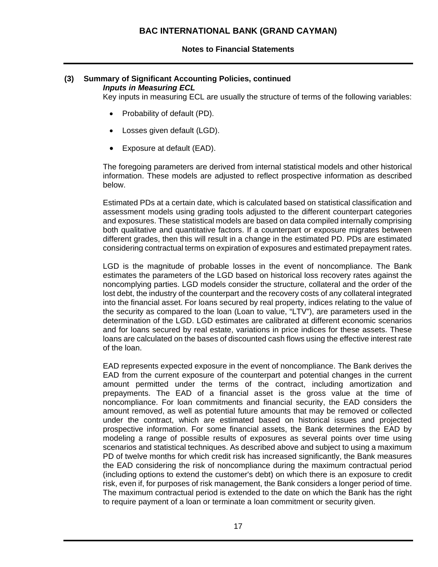### **Notes to Financial Statements**

#### **(3) Summary of Significant Accounting Policies, continued**  *Inputs in Measuring ECL*

Key inputs in measuring ECL are usually the structure of terms of the following variables:

- Probability of default (PD).
- Losses given default (LGD).
- Exposure at default (EAD).

The foregoing parameters are derived from internal statistical models and other historical information. These models are adjusted to reflect prospective information as described below.

Estimated PDs at a certain date, which is calculated based on statistical classification and assessment models using grading tools adjusted to the different counterpart categories and exposures. These statistical models are based on data compiled internally comprising both qualitative and quantitative factors. If a counterpart or exposure migrates between different grades, then this will result in a change in the estimated PD. PDs are estimated considering contractual terms on expiration of exposures and estimated prepayment rates.

LGD is the magnitude of probable losses in the event of noncompliance. The Bank estimates the parameters of the LGD based on historical loss recovery rates against the noncomplying parties. LGD models consider the structure, collateral and the order of the lost debt, the industry of the counterpart and the recovery costs of any collateral integrated into the financial asset. For loans secured by real property, indices relating to the value of the security as compared to the loan (Loan to value, "LTV"), are parameters used in the determination of the LGD. LGD estimates are calibrated at different economic scenarios and for loans secured by real estate, variations in price indices for these assets. These loans are calculated on the bases of discounted cash flows using the effective interest rate of the loan.

EAD represents expected exposure in the event of noncompliance. The Bank derives the EAD from the current exposure of the counterpart and potential changes in the current amount permitted under the terms of the contract, including amortization and prepayments. The EAD of a financial asset is the gross value at the time of noncompliance. For loan commitments and financial security, the EAD considers the amount removed, as well as potential future amounts that may be removed or collected under the contract, which are estimated based on historical issues and projected prospective information. For some financial assets, the Bank determines the EAD by modeling a range of possible results of exposures as several points over time using scenarios and statistical techniques. As described above and subject to using a maximum PD of twelve months for which credit risk has increased significantly, the Bank measures the EAD considering the risk of noncompliance during the maximum contractual period (including options to extend the customer's debt) on which there is an exposure to credit risk, even if, for purposes of risk management, the Bank considers a longer period of time. The maximum contractual period is extended to the date on which the Bank has the right to require payment of a loan or terminate a loan commitment or security given.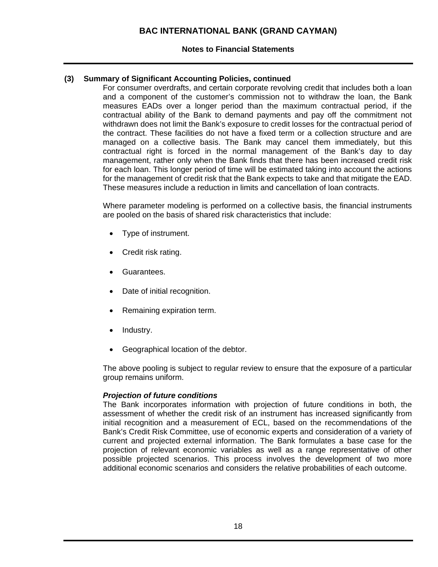### **Notes to Financial Statements**

### **(3) Summary of Significant Accounting Policies, continued**

For consumer overdrafts, and certain corporate revolving credit that includes both a loan and a component of the customer's commission not to withdraw the loan, the Bank measures EADs over a longer period than the maximum contractual period, if the contractual ability of the Bank to demand payments and pay off the commitment not withdrawn does not limit the Bank's exposure to credit losses for the contractual period of the contract. These facilities do not have a fixed term or a collection structure and are managed on a collective basis. The Bank may cancel them immediately, but this contractual right is forced in the normal management of the Bank's day to day management, rather only when the Bank finds that there has been increased credit risk for each loan. This longer period of time will be estimated taking into account the actions for the management of credit risk that the Bank expects to take and that mitigate the EAD. These measures include a reduction in limits and cancellation of loan contracts.

Where parameter modeling is performed on a collective basis, the financial instruments are pooled on the basis of shared risk characteristics that include:

- Type of instrument.
- Credit risk rating.
- Guarantees.
- Date of initial recognition.
- Remaining expiration term.
- Industry.
- Geographical location of the debtor.

The above pooling is subject to regular review to ensure that the exposure of a particular group remains uniform.

### *Projection of future conditions*

The Bank incorporates information with projection of future conditions in both, the assessment of whether the credit risk of an instrument has increased significantly from initial recognition and a measurement of ECL, based on the recommendations of the Bank's Credit Risk Committee, use of economic experts and consideration of a variety of current and projected external information. The Bank formulates a base case for the projection of relevant economic variables as well as a range representative of other possible projected scenarios. This process involves the development of two more additional economic scenarios and considers the relative probabilities of each outcome.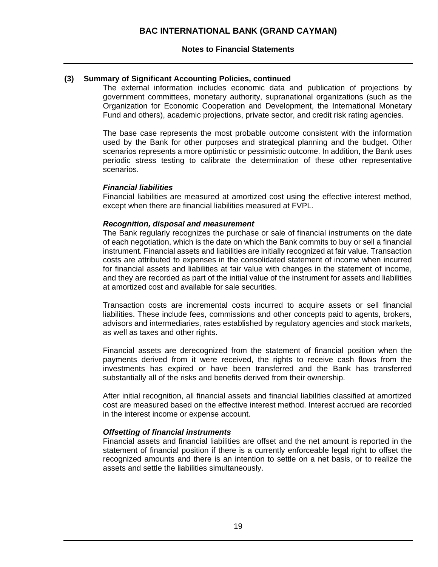### **(3) Summary of Significant Accounting Policies, continued**

The external information includes economic data and publication of projections by government committees, monetary authority, supranational organizations (such as the Organization for Economic Cooperation and Development, the International Monetary Fund and others), academic projections, private sector, and credit risk rating agencies.

The base case represents the most probable outcome consistent with the information used by the Bank for other purposes and strategical planning and the budget. Other scenarios represents a more optimistic or pessimistic outcome. In addition, the Bank uses periodic stress testing to calibrate the determination of these other representative scenarios.

### *Financial liabilities*

Financial liabilities are measured at amortized cost using the effective interest method, except when there are financial liabilities measured at FVPL.

#### *Recognition, disposal and measurement*

The Bank regularly recognizes the purchase or sale of financial instruments on the date of each negotiation, which is the date on which the Bank commits to buy or sell a financial instrument. Financial assets and liabilities are initially recognized at fair value. Transaction costs are attributed to expenses in the consolidated statement of income when incurred for financial assets and liabilities at fair value with changes in the statement of income, and they are recorded as part of the initial value of the instrument for assets and liabilities at amortized cost and available for sale securities.

Transaction costs are incremental costs incurred to acquire assets or sell financial liabilities. These include fees, commissions and other concepts paid to agents, brokers, advisors and intermediaries, rates established by regulatory agencies and stock markets, as well as taxes and other rights.

Financial assets are derecognized from the statement of financial position when the payments derived from it were received, the rights to receive cash flows from the investments has expired or have been transferred and the Bank has transferred substantially all of the risks and benefits derived from their ownership.

After initial recognition, all financial assets and financial liabilities classified at amortized cost are measured based on the effective interest method. Interest accrued are recorded in the interest income or expense account.

### *Offsetting of financial instruments*

Financial assets and financial liabilities are offset and the net amount is reported in the statement of financial position if there is a currently enforceable legal right to offset the recognized amounts and there is an intention to settle on a net basis, or to realize the assets and settle the liabilities simultaneously.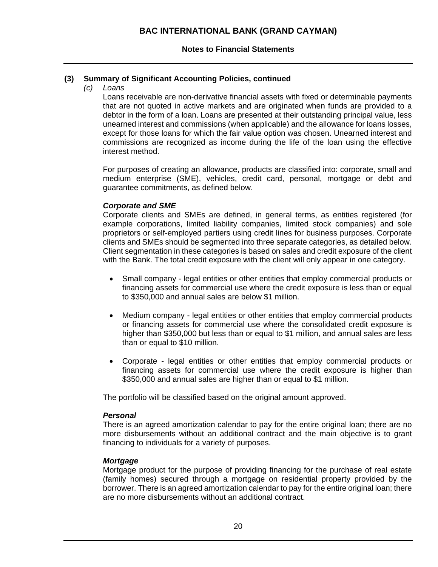## **(3) Summary of Significant Accounting Policies, continued**

*(c) Loans* 

Loans receivable are non-derivative financial assets with fixed or determinable payments that are not quoted in active markets and are originated when funds are provided to a debtor in the form of a loan. Loans are presented at their outstanding principal value, less unearned interest and commissions (when applicable) and the allowance for loans losses, except for those loans for which the fair value option was chosen. Unearned interest and commissions are recognized as income during the life of the loan using the effective interest method.

For purposes of creating an allowance, products are classified into: corporate, small and medium enterprise (SME), vehicles, credit card, personal, mortgage or debt and guarantee commitments, as defined below.

### *Corporate and SME*

Corporate clients and SMEs are defined, in general terms, as entities registered (for example corporations, limited liability companies, limited stock companies) and sole proprietors or self-employed partiers using credit lines for business purposes. Corporate clients and SMEs should be segmented into three separate categories, as detailed below. Client segmentation in these categories is based on sales and credit exposure of the client with the Bank. The total credit exposure with the client will only appear in one category.

- Small company legal entities or other entities that employ commercial products or financing assets for commercial use where the credit exposure is less than or equal to \$350,000 and annual sales are below \$1 million.
- Medium company legal entities or other entities that employ commercial products or financing assets for commercial use where the consolidated credit exposure is higher than \$350,000 but less than or equal to \$1 million, and annual sales are less than or equal to \$10 million.
- Corporate legal entities or other entities that employ commercial products or financing assets for commercial use where the credit exposure is higher than \$350,000 and annual sales are higher than or equal to \$1 million.

The portfolio will be classified based on the original amount approved.

### *Personal*

There is an agreed amortization calendar to pay for the entire original loan; there are no more disbursements without an additional contract and the main objective is to grant financing to individuals for a variety of purposes.

### *Mortgage*

Mortgage product for the purpose of providing financing for the purchase of real estate (family homes) secured through a mortgage on residential property provided by the borrower. There is an agreed amortization calendar to pay for the entire original loan; there are no more disbursements without an additional contract.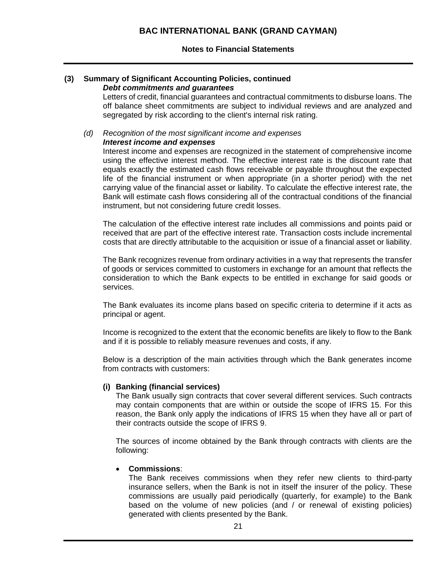#### **(3) Summary of Significant Accounting Policies, continued**  *Debt commitments and guarantees*

Letters of credit, financial guarantees and contractual commitments to disburse loans. The off balance sheet commitments are subject to individual reviews and are analyzed and segregated by risk according to the client's internal risk rating.

#### *(d) Recognition of the most significant income and expenses Interest income and expenses*

Interest income and expenses are recognized in the statement of comprehensive income using the effective interest method. The effective interest rate is the discount rate that equals exactly the estimated cash flows receivable or payable throughout the expected life of the financial instrument or when appropriate (in a shorter period) with the net carrying value of the financial asset or liability. To calculate the effective interest rate, the Bank will estimate cash flows considering all of the contractual conditions of the financial instrument, but not considering future credit losses.

The calculation of the effective interest rate includes all commissions and points paid or received that are part of the effective interest rate. Transaction costs include incremental costs that are directly attributable to the acquisition or issue of a financial asset or liability.

The Bank recognizes revenue from ordinary activities in a way that represents the transfer of goods or services committed to customers in exchange for an amount that reflects the consideration to which the Bank expects to be entitled in exchange for said goods or services.

The Bank evaluates its income plans based on specific criteria to determine if it acts as principal or agent.

Income is recognized to the extent that the economic benefits are likely to flow to the Bank and if it is possible to reliably measure revenues and costs, if any.

Below is a description of the main activities through which the Bank generates income from contracts with customers:

### **(i) Banking (financial services)**

The Bank usually sign contracts that cover several different services. Such contracts may contain components that are within or outside the scope of IFRS 15. For this reason, the Bank only apply the indications of IFRS 15 when they have all or part of their contracts outside the scope of IFRS 9.

The sources of income obtained by the Bank through contracts with clients are the following:

### **Commissions**:

The Bank receives commissions when they refer new clients to third-party insurance sellers, when the Bank is not in itself the insurer of the policy. These commissions are usually paid periodically (quarterly, for example) to the Bank based on the volume of new policies (and / or renewal of existing policies) generated with clients presented by the Bank.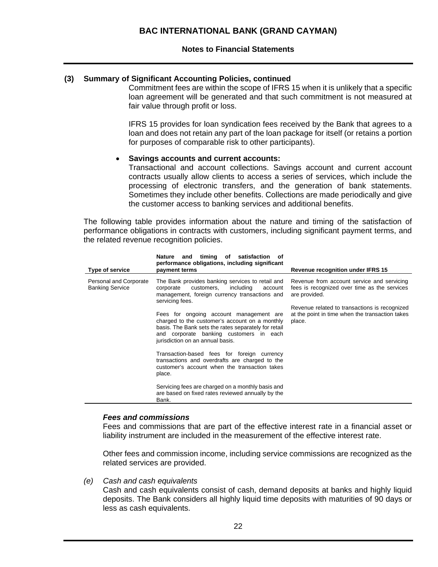### **(3) Summary of Significant Accounting Policies, continued**

Commitment fees are within the scope of IFRS 15 when it is unlikely that a specific loan agreement will be generated and that such commitment is not measured at fair value through profit or loss.

IFRS 15 provides for loan syndication fees received by the Bank that agrees to a loan and does not retain any part of the loan package for itself (or retains a portion for purposes of comparable risk to other participants).

#### **Savings accounts and current accounts:**

Transactional and account collections. Savings account and current account contracts usually allow clients to access a series of services, which include the processing of electronic transfers, and the generation of bank statements. Sometimes they include other benefits. Collections are made periodically and give the customer access to banking services and additional benefits.

The following table provides information about the nature and timing of the satisfaction of performance obligations in contracts with customers, including significant payment terms, and the related revenue recognition policies.

| <b>Type of service</b>                           | timing of<br>satisfaction<br>Nature<br>and<br>οf<br>performance obligations, including significant<br>payment terms                                                                                                              | <b>Revenue recognition under IFRS 15</b>                                                                    |
|--------------------------------------------------|----------------------------------------------------------------------------------------------------------------------------------------------------------------------------------------------------------------------------------|-------------------------------------------------------------------------------------------------------------|
| Personal and Corporate<br><b>Banking Service</b> | The Bank provides banking services to retail and<br>including<br>customers,<br>account<br>corporate<br>management, foreign currency transactions and<br>servicing fees.                                                          | Revenue from account service and servicing<br>fees is recognized over time as the services<br>are provided. |
|                                                  | Fees for ongoing account management are<br>charged to the customer's account on a monthly<br>basis. The Bank sets the rates separately for retail<br>and corporate banking customers in each<br>jurisdiction on an annual basis. | Revenue related to transactions is recognized<br>at the point in time when the transaction takes<br>place.  |
|                                                  | Transaction-based fees for foreign currency<br>transactions and overdrafts are charged to the<br>customer's account when the transaction takes<br>place.                                                                         |                                                                                                             |
|                                                  | Servicing fees are charged on a monthly basis and<br>are based on fixed rates reviewed annually by the<br>Bank.                                                                                                                  |                                                                                                             |

### *Fees and commissions*

Fees and commissions that are part of the effective interest rate in a financial asset or liability instrument are included in the measurement of the effective interest rate.

Other fees and commission income, including service commissions are recognized as the related services are provided.

*(e) Cash and cash equivalents* 

Cash and cash equivalents consist of cash, demand deposits at banks and highly liquid deposits. The Bank considers all highly liquid time deposits with maturities of 90 days or less as cash equivalents.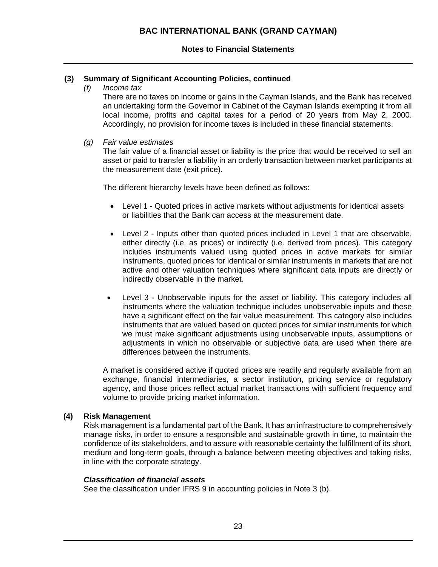### **(3) Summary of Significant Accounting Policies, continued**

*(f) Income tax* 

There are no taxes on income or gains in the Cayman Islands, and the Bank has received an undertaking form the Governor in Cabinet of the Cayman Islands exempting it from all local income, profits and capital taxes for a period of 20 years from May 2, 2000. Accordingly, no provision for income taxes is included in these financial statements.

*(g) Fair value estimates* 

The fair value of a financial asset or liability is the price that would be received to sell an asset or paid to transfer a liability in an orderly transaction between market participants at the measurement date (exit price).

The different hierarchy levels have been defined as follows:

- Level 1 Quoted prices in active markets without adjustments for identical assets or liabilities that the Bank can access at the measurement date.
- Level 2 Inputs other than quoted prices included in Level 1 that are observable, either directly (i.e. as prices) or indirectly (i.e. derived from prices). This category includes instruments valued using quoted prices in active markets for similar instruments, quoted prices for identical or similar instruments in markets that are not active and other valuation techniques where significant data inputs are directly or indirectly observable in the market.
- Level 3 Unobservable inputs for the asset or liability. This category includes all instruments where the valuation technique includes unobservable inputs and these have a significant effect on the fair value measurement. This category also includes instruments that are valued based on quoted prices for similar instruments for which we must make significant adjustments using unobservable inputs, assumptions or adjustments in which no observable or subjective data are used when there are differences between the instruments.

A market is considered active if quoted prices are readily and regularly available from an exchange, financial intermediaries, a sector institution, pricing service or regulatory agency, and those prices reflect actual market transactions with sufficient frequency and volume to provide pricing market information.

### **(4) Risk Management**

Risk management is a fundamental part of the Bank. It has an infrastructure to comprehensively manage risks, in order to ensure a responsible and sustainable growth in time, to maintain the confidence of its stakeholders, and to assure with reasonable certainty the fulfillment of its short, medium and long-term goals, through a balance between meeting objectives and taking risks, in line with the corporate strategy.

### *Classification of financial assets*

See the classification under IFRS 9 in accounting policies in Note 3 (b).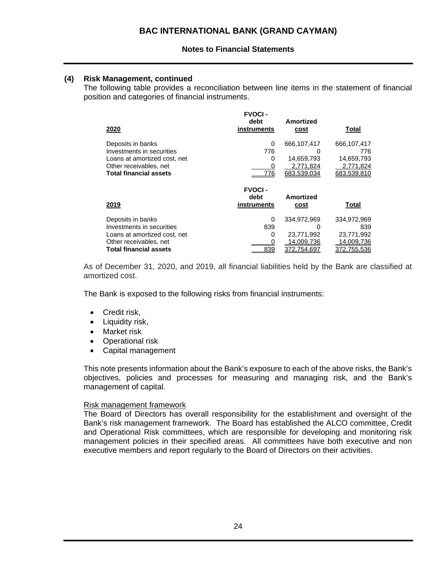## **(4) Risk Management, continued**

The following table provides a reconciliation between line items in the statement of financial position and categories of financial instruments.

| 2020                          | <b>FVOCI-</b><br>debt<br>instruments | Amortized<br><b>cost</b> | Total        |
|-------------------------------|--------------------------------------|--------------------------|--------------|
| Deposits in banks             | 0                                    | 666.107.417              | 666,107,417  |
| Investments in securities     | 776                                  |                          | 776          |
| Loans at amortized cost, net  | 0                                    | 14,659,793               | 14,659,793   |
| Other receivables, net        | 0                                    | 2,771,824                | 2,771,824    |
| <b>Total financial assets</b> | 776                                  | 683,539,034              | 683,539,810  |
|                               |                                      |                          |              |
|                               | <b>FVOCI-</b>                        |                          |              |
| 2019                          | debt<br>instruments                  | <b>Amortized</b><br>cost | <b>Total</b> |
| Deposits in banks             | 0                                    | 334,972,969              | 334,972,969  |
| Investments in securities     | 839                                  |                          | 839          |
| Loans at amortized cost, net  | 0                                    | 23,771,992               | 23,771,992   |
| Other receivables, net        |                                      | 14,009,736               | 14,009,736   |

As of December 31, 2020, and 2019, all financial liabilities held by the Bank are classified at amortized cost.

The Bank is exposed to the following risks from financial instruments:

- Credit risk,
- Liquidity risk,
- Market risk
- Operational risk
- Capital management

This note presents information about the Bank's exposure to each of the above risks, the Bank's objectives, policies and processes for measuring and managing risk, and the Bank's management of capital.

### Risk management framework

The Board of Directors has overall responsibility for the establishment and oversight of the Bank's risk management framework. The Board has established the ALCO committee, Credit and Operational Risk committees, which are responsible for developing and monitoring risk management policies in their specified areas. All committees have both executive and non executive members and report regularly to the Board of Directors on their activities.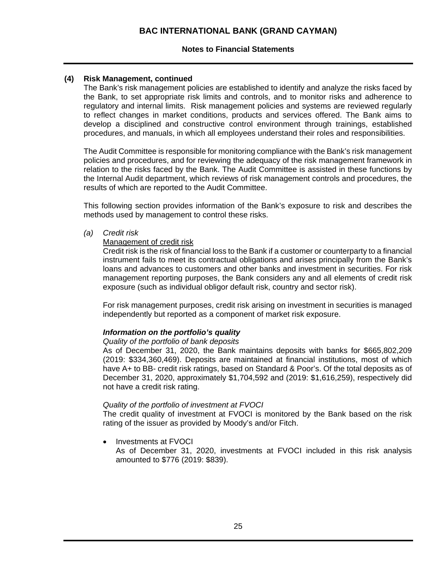### **Notes to Financial Statements**

### **(4) Risk Management, continued**

The Bank's risk management policies are established to identify and analyze the risks faced by the Bank, to set appropriate risk limits and controls, and to monitor risks and adherence to regulatory and internal limits. Risk management policies and systems are reviewed regularly to reflect changes in market conditions, products and services offered. The Bank aims to develop a disciplined and constructive control environment through trainings, established procedures, and manuals, in which all employees understand their roles and responsibilities.

The Audit Committee is responsible for monitoring compliance with the Bank's risk management policies and procedures, and for reviewing the adequacy of the risk management framework in relation to the risks faced by the Bank. The Audit Committee is assisted in these functions by the Internal Audit department, which reviews of risk management controls and procedures, the results of which are reported to the Audit Committee.

This following section provides information of the Bank's exposure to risk and describes the methods used by management to control these risks.

*(a) Credit risk* 

### Management of credit risk

Credit risk is the risk of financial loss to the Bank if a customer or counterparty to a financial instrument fails to meet its contractual obligations and arises principally from the Bank's loans and advances to customers and other banks and investment in securities. For risk management reporting purposes, the Bank considers any and all elements of credit risk exposure (such as individual obligor default risk, country and sector risk).

For risk management purposes, credit risk arising on investment in securities is managed independently but reported as a component of market risk exposure.

### *Information on the portfolio's quality*

### *Quality of the portfolio of bank deposits*

As of December 31, 2020, the Bank maintains deposits with banks for \$665,802,209 (2019: \$334,360,469). Deposits are maintained at financial institutions, most of which have A+ to BB- credit risk ratings, based on Standard & Poor's. Of the total deposits as of December 31, 2020, approximately \$1,704,592 and (2019: \$1,616,259), respectively did not have a credit risk rating.

### *Quality of the portfolio of investment at FVOCI*

The credit quality of investment at FVOCI is monitored by the Bank based on the risk rating of the issuer as provided by Moody's and/or Fitch.

Investments at FVOCI

As of December 31, 2020, investments at FVOCI included in this risk analysis amounted to \$776 (2019: \$839).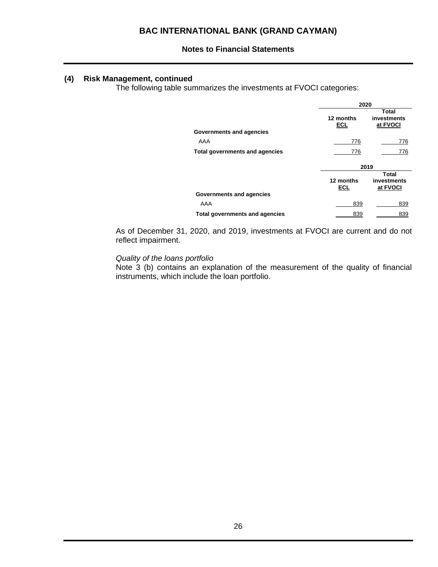### **(4) Risk Management, continued**

The following table summarizes the investments at FVOCI categories:

|                                       | 2020             |                                  |
|---------------------------------------|------------------|----------------------------------|
|                                       | 12 months<br>ECL | Total<br>investments<br>at FVOCI |
| Governments and agencies              |                  |                                  |
| AAA                                   | 776              | 776                              |
| <b>Total governments and agencies</b> | 776              | 776                              |
|                                       |                  |                                  |
|                                       |                  | 2019                             |
|                                       | 12 months<br>ECL | Total<br>investments<br>at FVOCI |
| Governments and agencies              |                  |                                  |
| AAA                                   | 839              | 839                              |

As of December 31, 2020, and 2019, investments at FVOCI are current and do not reflect impairment.

### *Quality of the loans portfolio*

Note 3 (b) contains an explanation of the measurement of the quality of financial instruments, which include the loan portfolio.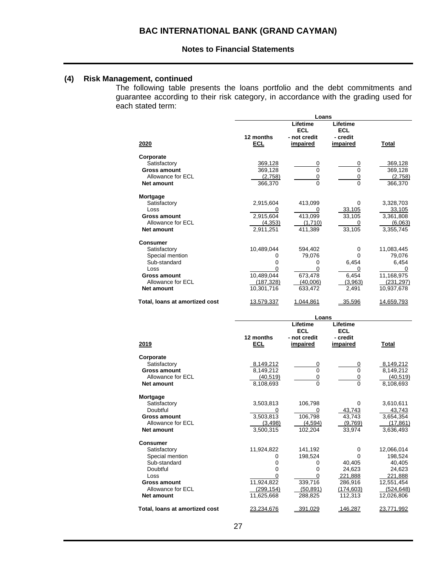## **(4) Risk Management, continued**

The following table presents the loans portfolio and the debt commitments and guarantee according to their risk category, in accordance with the grading used for each stated term:

|                                | Loans      |                                        |                                    |            |  |
|--------------------------------|------------|----------------------------------------|------------------------------------|------------|--|
|                                | 12 months  | Lifetime<br><b>ECL</b><br>- not credit | Lifetime<br><b>ECL</b><br>- credit |            |  |
| 2020                           | <b>ECL</b> | impaired                               | impaired                           | Total      |  |
| Corporate                      |            |                                        |                                    |            |  |
| Satisfactory                   | 369,128    | 0                                      | 0                                  | 369,128    |  |
| Gross amount                   | 369,128    | 0                                      | 0                                  | 369,128    |  |
| Allowance for ECL              | (2,758)    | <u>0</u>                               | <u>0</u>                           | (2,758)    |  |
| <b>Net amount</b>              | 366,370    | $\Omega$                               | $\Omega$                           | 366,370    |  |
| Mortgage                       |            |                                        |                                    |            |  |
| Satisfactory                   | 2,915,604  | 413,099                                | 0                                  | 3,328,703  |  |
| Loss                           |            |                                        | 33,105                             | 33,105     |  |
| Gross amount                   | 2,915,604  | 413,099                                | 33,105                             | 3,361,808  |  |
| Allowance for ECL              | (4, 353)   | (1.710)                                | 0                                  | (6,063)    |  |
| <b>Net amount</b>              | 2,911,251  | 411,389                                | 33,105                             | 3,355,745  |  |
| <b>Consumer</b>                |            |                                        |                                    |            |  |
| Satisfactory                   | 10,489,044 | 594,402                                | 0                                  | 11,083,445 |  |
| Special mention                | O          | 79,076                                 | $\Omega$                           | 79,076     |  |
| Sub-standard                   | 0          | 0                                      | 6.454                              | 6,454      |  |
| Loss                           | ი          | 0                                      | 0                                  |            |  |
| Gross amount                   | 10,489,044 | 673,478                                | 6,454                              | 11,168,975 |  |
| Allowance for ECL              | (187, 328) | (40,006)                               | (3,963)                            | (231, 297) |  |
| Net amount                     | 10,301,716 | 633,472                                | 2,491                              | 10,937,678 |  |
| Total, loans at amortized cost | 13,579,337 | 1.044.861                              | 35.596                             | 14,659,793 |  |

|                                | Loans      |                        |                        |            |  |
|--------------------------------|------------|------------------------|------------------------|------------|--|
|                                |            | Lifetime<br><b>ECL</b> | Lifetime<br><b>ECL</b> |            |  |
|                                | 12 months  | - not credit           | - credit               |            |  |
| 2019                           | <b>ECL</b> | impaired               | <b>impaired</b>        | Total      |  |
| Corporate                      |            |                        |                        |            |  |
| Satisfactory                   | 8,149,212  | 0                      | 0                      | 8,149,212  |  |
| <b>Gross amount</b>            | 8,149,212  | 0                      | $\Omega$               | 8,149,212  |  |
| Allowance for ECL              | (40, 519)  | 0                      | 0                      | (40, 519)  |  |
| <b>Net amount</b>              | 8,108,693  | 0                      | $\Omega$               | 8,108,693  |  |
| Mortgage                       |            |                        |                        |            |  |
| Satisfactory                   | 3,503,813  | 106,798                | 0                      | 3,610,611  |  |
| Doubtful                       |            | 0                      | 43,743                 | 43,743     |  |
| Gross amount                   | 3,503,813  | 106,798                | 43,743                 | 3,654,354  |  |
| Allowance for ECL              | (3, 498)   | (4,594)                | (9,769)                | (17, 861)  |  |
| <b>Net amount</b>              | 3,500,315  | 102,204                | 33,974                 | 3,636,493  |  |
| <b>Consumer</b>                |            |                        |                        |            |  |
| Satisfactory                   | 11,924,822 | 141.192                | 0                      | 12,066,014 |  |
| Special mention                | 0          | 198.524                | 0                      | 198.524    |  |
| Sub-standard                   | 0          | 0                      | 40,405                 | 40,405     |  |
| Doubtful                       | 0          | 0                      | 24,623                 | 24,623     |  |
| Loss                           | 0          | 0                      | 221,888                | 221,888    |  |
| Gross amount                   | 11,924,822 | 339,716                | 286,916                | 12,551,454 |  |
| Allowance for ECL              | (299, 154) | (50, 891)              | (174, 603)             | (524, 648) |  |
| Net amount                     | 11,625,668 | 288,825                | 112,313                | 12,026,806 |  |
| Total, loans at amortized cost | 23.234.676 | 391.029                | 146,287                | 23.771.992 |  |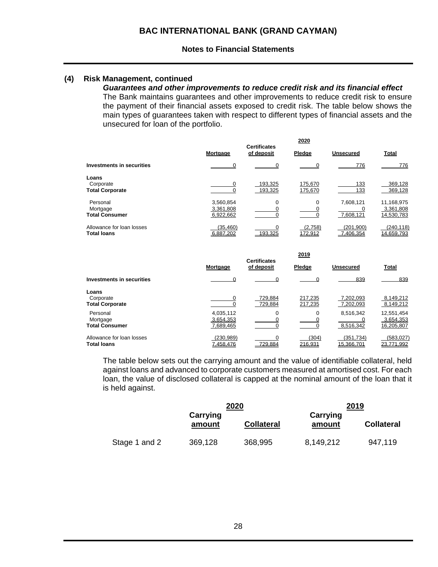### **(4) Risk Management, continued**

# *Guarantees and other improvements to reduce credit risk and its financial effect*

The Bank maintains guarantees and other improvements to reduce credit risk to ensure the payment of their financial assets exposed to credit risk. The table below shows the main types of guarantees taken with respect to different types of financial assets and the unsecured for loan of the portfolio.

|                                                 | 2020<br><b>Certificates</b>         |                    |                    |                         |                                       |  |  |
|-------------------------------------------------|-------------------------------------|--------------------|--------------------|-------------------------|---------------------------------------|--|--|
|                                                 | <b>Mortgage</b>                     | of deposit         | Pledge             | <b>Unsecured</b>        | <b>Total</b>                          |  |  |
| Investments in securities                       |                                     |                    |                    | 776                     | 776                                   |  |  |
| Loans<br>Corporate<br><b>Total Corporate</b>    | 0                                   | 193,325<br>193,325 | 175,670<br>175,670 | 133<br>133              | 369,128<br>369,128                    |  |  |
| Personal<br>Mortgage<br><b>Total Consumer</b>   | 3,560,854<br>3,361,808<br>6,922,662 | 0                  | $\Omega$           | 7,608,121<br>7,608,121  | 11,168,975<br>3,361,808<br>14,530,783 |  |  |
| Allowance for loan losses<br><b>Total loans</b> | (35, 460)<br>6.887.202              | 193.325            | (2,758)<br>172.912 | (201, 900)<br>7.406.354 | (240,118)<br>14.659.793               |  |  |

|                                                 |                                     | 2019                              |                    |                         |                                       |
|-------------------------------------------------|-------------------------------------|-----------------------------------|--------------------|-------------------------|---------------------------------------|
|                                                 | <b>Mortgage</b>                     | <b>Certificates</b><br>of deposit | Pledge             | <b>Unsecured</b>        | <b>Total</b>                          |
| Investments in securities                       |                                     |                                   |                    | 839                     | 839                                   |
| Loans<br>Corporate<br><b>Total Corporate</b>    |                                     | 729.884<br>729,884                | 217,235<br>217,235 | 7.202.093<br>7,202,093  | 8,149,212<br>8,149,212                |
| Personal<br>Mortgage<br><b>Total Consumer</b>   | 4,035,112<br>3.654.353<br>7,689,465 | 0                                 | $\Omega$           | 8,516,342<br>8,516,342  | 12,551,454<br>3,654,353<br>16,205,807 |
| Allowance for loan losses<br><b>Total loans</b> | (230, 989)<br>7.458.476             | 729.884                           | (304)<br>216.931   | (351.734)<br>15.366.701 | (583, 027)<br>23.771.992              |

The table below sets out the carrying amount and the value of identifiable collateral, held against loans and advanced to corporate customers measured at amortised cost. For each loan, the value of disclosed collateral is capped at the nominal amount of the loan that it is held against.

|               |                    | 2020              |                    | 2019              |
|---------------|--------------------|-------------------|--------------------|-------------------|
|               | Carrying<br>amount | <b>Collateral</b> | Carrying<br>amount | <b>Collateral</b> |
| Stage 1 and 2 | 369,128            | 368,995           | 8,149,212          | 947,119           |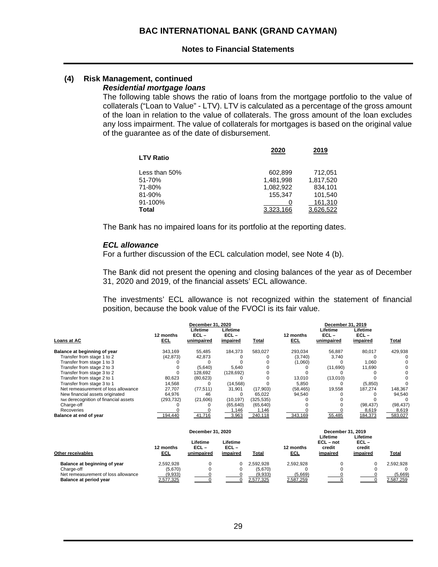#### **(4) Risk Management, continued** *Residential mortgage loans*

The following table shows the ratio of loans from the mortgage portfolio to the value of collaterals ("Loan to Value" - LTV). LTV is calculated as a percentage of the gross amount of the loan in relation to the value of collaterals. The gross amount of the loan excludes any loss impairment. The value of collaterals for mortgages is based on the original value of the guarantee as of the date of disbursement.

|                  | 2020      | 2019      |
|------------------|-----------|-----------|
| <b>LTV Ratio</b> |           |           |
| Less than 50%    | 602,899   | 712.051   |
| 51-70%           | 1,481,998 | 1,817,520 |
| 71-80%           | 1,082,922 | 834,101   |
| 81-90%           | 155.347   | 101.540   |
| 91-100%          |           | 161,310   |
| Total            | 3.323.166 | 3.626.522 |

The Bank has no impaired loans for its portfolio at the reporting dates.

#### *ECL allowance*

For a further discussion of the ECL calculation model, see Note 4 (b).

The Bank did not present the opening and closing balances of the year as of December 31, 2020 and 2019, of the financial assets' ECL allowance.

The investments' ECL allowance is not recognized within the statement of financial position, because the book value of the FVOCI is its fair value.

|                                       |                         | December 31, 2020                 |                                 |            |                  | December 31, 2019                 |                                 |           |
|---------------------------------------|-------------------------|-----------------------------------|---------------------------------|------------|------------------|-----------------------------------|---------------------------------|-----------|
| Loans at AC                           | 12 months<br><b>ECL</b> | Lifetime<br>$ECL -$<br>unimpaired | Lifetime<br>$ECL -$<br>impaired | Total      | 12 months<br>ECL | Lifetime<br>$ECL -$<br>unimpaired | Lifetime<br>$ECL -$<br>impaired | Total     |
| Balance at beginning of year          | 343.169                 | 55,485                            | 184.373                         | 583.027    | 293.034          | 56,887                            | 80.017                          | 429.938   |
| Transfer from stage 1 to 2            | (42, 873)               | 42,873                            |                                 |            | (3.740)          | 3.740                             |                                 |           |
| Transfer from stage 1 to 3            |                         |                                   |                                 |            | (1,060)          |                                   | 1,060                           |           |
| Transfer from stage 2 to 3            |                         | (5,640)                           | 5.640                           |            |                  | (11,690)                          | 11.690                          |           |
| Transfer from stage 3 to 2            |                         | 128.692                           | (128, 692)                      |            |                  |                                   |                                 |           |
| Transfer from stage 2 to 1            | 80,623                  | (80, 623)                         |                                 |            | 13.010           | (13,010)                          |                                 |           |
| Transfer from stage 3 to 1            | 14,568                  |                                   | (14.568)                        |            | 5.850            |                                   | (5,850)                         |           |
| Net remeasurement of loss allowance   | 27.707                  | (77, 511)                         | 31,901                          | (17, 903)  | (58, 465)        | 19,558                            | 187,274                         | 148,367   |
| New financial assets originated       | 64.976                  | 46                                |                                 | 65.022     | 94.540           |                                   |                                 | 94.540    |
| Net derecognition of financial assets | (293,732)               | (21,606)                          | (10, 197)                       | (325, 535) |                  |                                   |                                 |           |
| Charge-off                            |                         |                                   | (65.640)                        | (65, 640)  |                  |                                   | (98.437)                        | (98, 437) |
| Recoveries                            |                         |                                   | 1,146                           | 1,146      |                  |                                   | 8,619                           | 8,619     |
| Balance at end of year                | 194.440                 | 41.716                            | 3.963                           | 240.118    | 343.169          | 55.485                            | 184.373                         | 583.027   |

|                                     | December 31, 2020       |                                   |                                 | December 31, 2019 |                   |                                               |                                           |              |
|-------------------------------------|-------------------------|-----------------------------------|---------------------------------|-------------------|-------------------|-----------------------------------------------|-------------------------------------------|--------------|
| Other receivables                   | 12 months<br><u>ECL</u> | Lifetime<br>$ECL -$<br>unimpaired | Lifetime<br>$ECL -$<br>impaired | Total             | 12 months<br>ECL. | Lifetime<br>$ECL - not$<br>credit<br>impaired | Lifetime<br>$ECL -$<br>credit<br>impaired | <u>Total</u> |
| Balance at beginning of year        | 2,592,928               |                                   | $\Omega$                        | 2.592.928         | 2.592.928         |                                               |                                           | 2.592.928    |
| Charge-off                          | (5.670)                 |                                   |                                 | (5.670)           |                   |                                               |                                           |              |
| Net remeasurement of loss allowance | (9,933)                 |                                   |                                 | (9,933)           | (5,669)           |                                               |                                           | (5,669)      |
| Balance at period year              | 2,577,325               |                                   |                                 | 2.577.325         | 2,587,259         |                                               |                                           | 2,587,259    |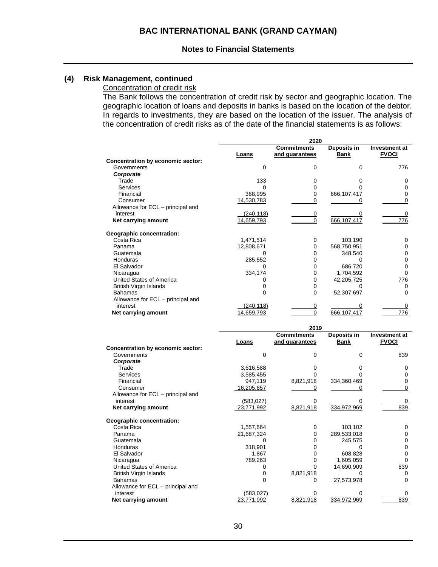### **(4) Risk Management, continued**

### Concentration of credit risk

The Bank follows the concentration of credit risk by sector and geographic location. The geographic location of loans and deposits in banks is based on the location of the debtor. In regards to investments, they are based on the location of the issuer. The analysis of the concentration of credit risks as of the date of the financial statements is as follows:

|                                   |             | 2020                       |             |                      |
|-----------------------------------|-------------|----------------------------|-------------|----------------------|
|                                   |             | <b>Commitments</b>         | Deposits in | <b>Investment at</b> |
|                                   | Loans       | and guarantees             | <b>Bank</b> | <b>FVOCI</b>         |
| Concentration by economic sector: |             |                            |             |                      |
| Governments                       | 0           | 0                          | $\Omega$    | 776                  |
| Corporate                         |             |                            |             |                      |
| Trade                             | 133         | 0                          | 0           | 0                    |
| <b>Services</b>                   | 0           | $\mathbf 0$                | $\Omega$    | $\mathbf 0$          |
| Financial                         | 368,995     | $\mathbf 0$                | 666,107,417 | 0                    |
| Consumer                          | 14,530,783  | 0                          | 0           | $\mathbf 0$          |
| Allowance for ECL - principal and |             |                            |             |                      |
| interest                          | (240, 118)  | 0                          |             | 0                    |
| Net carrying amount               | 14,659,793  | $\Omega$                   | 666,107,417 | 776                  |
| <b>Geographic concentration:</b>  |             |                            |             |                      |
| Costa Rica                        | 1,471,514   | 0                          | 103,190     | 0                    |
| Panama                            | 12,808,671  | $\mathbf 0$                | 568,750,951 | $\mathbf 0$          |
| Guatemala                         | 0           | 0                          | 348,540     | $\mathbf 0$          |
| <b>Honduras</b>                   | 285,552     | $\Omega$                   | $\Omega$    | 0                    |
| El Salvador                       | 0           | $\Omega$                   | 686,720     | $\Omega$             |
| Nicaragua                         | 334,174     | $\mathbf 0$                | 1,704,592   | $\Omega$             |
| <b>United States of America</b>   | 0           | $\mathbf 0$                | 42,205,725  | 776                  |
| <b>British Virgin Islands</b>     | 0           | 0                          | 0           | 0                    |
| <b>Bahamas</b>                    | 0           | 0                          | 52,307,697  | $\Omega$             |
| Allowance for ECL - principal and |             |                            |             |                      |
| interest                          | (240, 118)  | 0                          | 0           | 0                    |
| Net carrying amount               | 14.659.793  | $\Omega$                   | 666.107.417 | 776                  |
|                                   |             |                            |             |                      |
|                                   |             | 2019<br><b>Commitments</b> | Deposits in | <b>Investment at</b> |
|                                   | Loans       | and guarantees             | <b>Bank</b> | <b>FVOCI</b>         |
| Concentration by economic sector: |             |                            |             |                      |
| Governments                       | $\mathbf 0$ | 0                          | 0           | 839                  |
| Corporate                         |             |                            |             |                      |
| Trade                             | 3,616,588   | 0                          | 0           | 0                    |
| <b>Services</b>                   | 3,585,455   | $\Omega$                   | 0           | 0                    |
| Financial                         | 947,119     | 8,821,918                  | 334,360,469 | 0                    |
| Consumer                          | 16,205,857  | 0                          | 0           | $\Omega$             |
| Allowance for ECL - principal and |             |                            |             |                      |
| interest                          | (583, 027)  | 0                          | 0           | 0                    |

|            |            |             | 839         |
|------------|------------|-------------|-------------|
|            |            |             |             |
| 1,557,664  |            | 103.102     | ი           |
| 21,687,324 |            | 289,533,018 |             |
|            |            | 245.575     | 0           |
| 318.901    |            |             |             |
| 1.867      |            | 608.828     | 0           |
| 789.263    |            | 1.605.059   |             |
|            |            | 14.690.909  | 839         |
|            | 8.821.918  |             | 0           |
|            | O          | 27.573.978  | 0           |
|            |            |             |             |
| (583,027)  |            |             |             |
| 771.992    | 8.821.918  | 334.972.969 | 839         |
|            | 23.771.992 | 8,821,918   | 334.972.969 |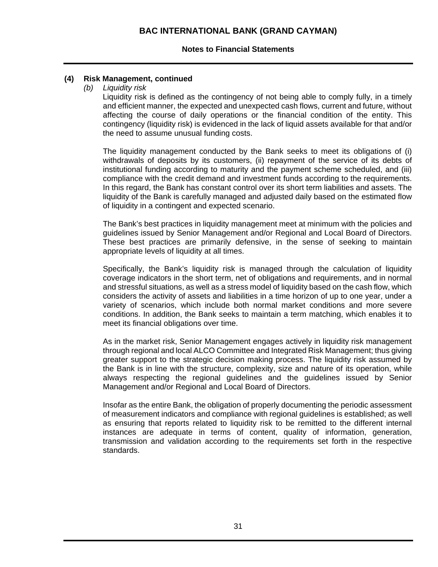### **(4) Risk Management, continued**

*(b) Liquidity risk* 

Liquidity risk is defined as the contingency of not being able to comply fully, in a timely and efficient manner, the expected and unexpected cash flows, current and future, without affecting the course of daily operations or the financial condition of the entity. This contingency (liquidity risk) is evidenced in the lack of liquid assets available for that and/or the need to assume unusual funding costs.

The liquidity management conducted by the Bank seeks to meet its obligations of (i) withdrawals of deposits by its customers, (ii) repayment of the service of its debts of institutional funding according to maturity and the payment scheme scheduled, and (iii) compliance with the credit demand and investment funds according to the requirements. In this regard, the Bank has constant control over its short term liabilities and assets. The liquidity of the Bank is carefully managed and adjusted daily based on the estimated flow of liquidity in a contingent and expected scenario.

The Bank's best practices in liquidity management meet at minimum with the policies and guidelines issued by Senior Management and/or Regional and Local Board of Directors. These best practices are primarily defensive, in the sense of seeking to maintain appropriate levels of liquidity at all times.

Specifically, the Bank's liquidity risk is managed through the calculation of liquidity coverage indicators in the short term, net of obligations and requirements, and in normal and stressful situations, as well as a stress model of liquidity based on the cash flow, which considers the activity of assets and liabilities in a time horizon of up to one year, under a variety of scenarios, which include both normal market conditions and more severe conditions. In addition, the Bank seeks to maintain a term matching, which enables it to meet its financial obligations over time.

As in the market risk, Senior Management engages actively in liquidity risk management through regional and local ALCO Committee and Integrated Risk Management; thus giving greater support to the strategic decision making process. The liquidity risk assumed by the Bank is in line with the structure, complexity, size and nature of its operation, while always respecting the regional guidelines and the guidelines issued by Senior Management and/or Regional and Local Board of Directors.

Insofar as the entire Bank, the obligation of properly documenting the periodic assessment of measurement indicators and compliance with regional guidelines is established; as well as ensuring that reports related to liquidity risk to be remitted to the different internal instances are adequate in terms of content, quality of information, generation, transmission and validation according to the requirements set forth in the respective standards.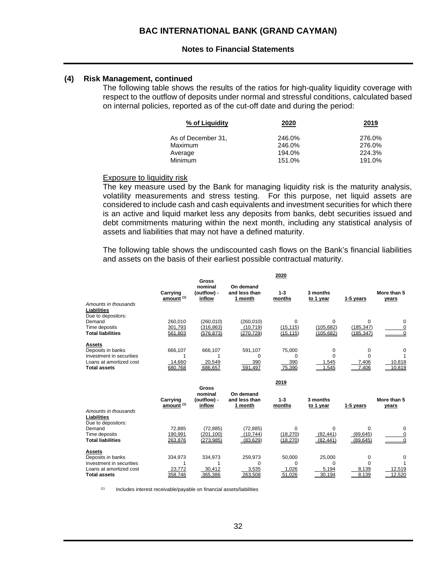### **(4) Risk Management, continued**

The following table shows the results of the ratios for high-quality liquidity coverage with respect to the outflow of deposits under normal and stressful conditions, calculated based on internal policies, reported as of the cut-off date and during the period:

| 2020   | 2019   |
|--------|--------|
| 246.0% | 276.0% |
| 246.0% | 276.0% |
| 194.0% | 224.3% |
| 151.0% | 191.0% |
|        |        |

#### Exposure to liquidity risk

The key measure used by the Bank for managing liquidity risk is the maturity analysis, volatility measurements and stress testing. For this purpose, net liquid assets are considered to include cash and cash equivalents and investment securities for which there is an active and liquid market less any deposits from banks, debt securities issued and debt commitments maturing within the next month, including any statistical analysis of assets and liabilities that may not have a defined maturity.

The following table shows the undiscounted cash flows on the Bank's financial liabilities and assets on the basis of their earliest possible contractual maturity.

|                                                                                                                  |                                   | Gross                                            |                                       | 2020                                |                                     |                                     |                       |
|------------------------------------------------------------------------------------------------------------------|-----------------------------------|--------------------------------------------------|---------------------------------------|-------------------------------------|-------------------------------------|-------------------------------------|-----------------------|
| Amounts in thousands<br>Liabilities                                                                              | Carrying<br>amount <sup>(1)</sup> | nominal<br>(outflow) -<br>inflow                 | On demand<br>and less than<br>1 month | $1 - 3$<br>months                   | 3 months<br>to 1 year               | 1-5 years                           | More than 5<br>years  |
| Due to depositors:<br>Demand<br>Time deposits<br><b>Total liabilities</b>                                        | 260,010<br>301,793<br>561.803     | (260, 010)<br>(316, 863)<br>(576.873)            | (260, 010)<br>(10, 719)<br>(270.729)  | $\Omega$<br>(15, 115)<br>(15.115)   | $\Omega$<br>(105, 682)<br>(105.682) | $\Omega$<br>(185, 347)<br>(185.347) | 0<br>0<br>$\Omega$    |
| <b>Assets</b><br>Deposits in banks<br>Investment in securities<br>Loans at amortized cost<br><b>Total assets</b> | 666,107<br>14,660<br>680.768      | 666,107<br>20.549<br>686,657                     | 591,107<br>$\Omega$<br>390<br>591,497 | 75,000<br>$\Omega$<br>390<br>75,390 | 0<br>$\Omega$<br>1.545<br>1.545     | 0<br>$\Omega$<br>7.406<br>7.406     | 0<br>10,818<br>10.819 |
|                                                                                                                  |                                   |                                                  |                                       | 2019                                |                                     |                                     |                       |
|                                                                                                                  | Carrying<br>amount <sup>(1)</sup> | <b>Gross</b><br>nominal<br>(outflow) -<br>inflow | On demand<br>and less than<br>1 month | $1 - 3$<br>months                   | 3 months<br>to 1 year               | 1-5 years                           | More than 5<br>years  |
| Amounts in thousands<br>Liabilities<br>Due to depositors:<br>Demand                                              | 72,885                            | (72, 885)                                        | (72, 885)                             | $\Omega$                            | $\Omega$                            | $\Omega$                            | 0                     |
| Time deposits<br><b>Total liabilities</b>                                                                        | 190,991<br>263,876                | (201.100)<br>(273,985)                           | (10, 744)<br>(83, 629)                | (18, 270)<br>(18, 270)              | (82, 441)<br>(82, 441)              | (89.645)<br>(89, 645)               | 0<br>$\Omega$         |
| Assets                                                                                                           |                                   |                                                  |                                       |                                     |                                     |                                     |                       |
| Deposits in banks<br>Investment in securities                                                                    | 334,973                           | 334,973                                          | 259,973<br>0                          | 50,000<br>0                         | 25,000<br>0                         | 0<br>0                              | 0                     |
| Loans at amortized cost<br><b>Total assets</b>                                                                   | 23.772<br>358.746                 | 30,412<br>365.386                                | 3,535<br>263.508                      | 1,026<br>51.026                     | 5,194<br>30.194                     | 8,139<br>8.139                      | 12,519<br>12.520      |

 $(1)$  Includes interest receivable/payable on financial assets/liabilities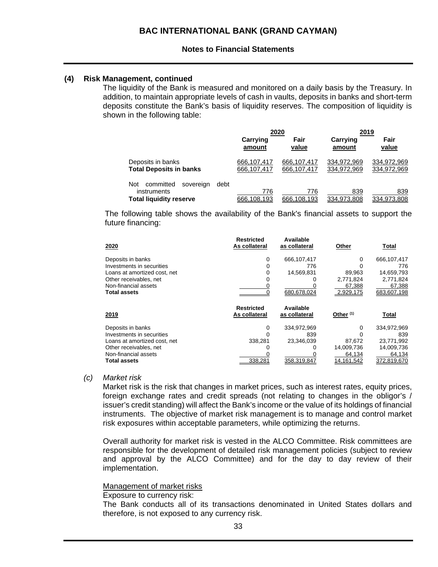### **(4) Risk Management, continued**

The liquidity of the Bank is measured and monitored on a daily basis by the Treasury. In addition, to maintain appropriate levels of cash in vaults, deposits in banks and short-term deposits constitute the Bank's basis of liquidity reserves. The composition of liquidity is shown in the following table:

|                                                                                        |                    | 2020               | 2019               |                    |  |
|----------------------------------------------------------------------------------------|--------------------|--------------------|--------------------|--------------------|--|
|                                                                                        | Carrying           | Fair               | Carrying           | Fair               |  |
|                                                                                        | amount             | value              | amount             | value              |  |
| Deposits in banks                                                                      | 666,107,417        | 666.107.417        | 334,972,969        | 334,972,969        |  |
| <b>Total Deposits in banks</b>                                                         | 666,107,417        | 666,107,417        | 334,972,969        | 334,972,969        |  |
| committed<br>Not<br>debt<br>sovereign<br>instruments<br><b>Total liquidity reserve</b> | 776<br>666.108.193 | 776<br>666.108.193 | 839<br>334.973.808 | 839<br>334.973.808 |  |

The following table shows the availability of the Bank's financial assets to support the future financing:

| 2020                                        | <b>Restricted</b><br>As collateral | Available<br>as collateral | Other                  | Total                 |
|---------------------------------------------|------------------------------------|----------------------------|------------------------|-----------------------|
| Deposits in banks                           | 0                                  | 666,107,417                | 0                      | 666,107,417           |
| Investments in securities                   |                                    | 776                        |                        | 776                   |
| Loans at amortized cost, net                | 0                                  | 14,569,831                 | 89,963                 | 14,659,793            |
| Other receivables, net                      |                                    |                            | 2,771,824              | 2,771,824             |
| Non-financial assets                        |                                    |                            | 67,388                 | 67,388                |
| Total assets                                |                                    | 680.678.024                | 2.929.175              | 683.607.198           |
|                                             |                                    |                            |                        |                       |
| <u> 2019 </u>                               | <b>Restricted</b><br>As collateral | Available<br>as collateral | Other <sup>(1)</sup>   | Total                 |
| Deposits in banks                           | 0                                  | 334,972,969                | 0                      | 334,972,969           |
| Investments in securities                   |                                    | 839                        |                        | 839                   |
| Loans at amortized cost, net                | 338,281                            | 23,346,039                 | 87.672                 | 23,771,992            |
| Other receivables, net                      |                                    | 0                          | 14,009,736             | 14,009,736            |
| Non-financial assets<br><b>Total assets</b> | 338,281                            | 358,319,847                | 64,134<br>14, 161, 542 | 64,134<br>372,819,670 |

### *(c) Market risk*

Market risk is the risk that changes in market prices, such as interest rates, equity prices, foreign exchange rates and credit spreads (not relating to changes in the obligor's / issuer's credit standing) will affect the Bank's income or the value of its holdings of financial instruments. The objective of market risk management is to manage and control market risk exposures within acceptable parameters, while optimizing the returns.

Overall authority for market risk is vested in the ALCO Committee. Risk committees are responsible for the development of detailed risk management policies (subject to review and approval by the ALCO Committee) and for the day to day review of their implementation.

### Management of market risks

#### Exposure to currency risk:

The Bank conducts all of its transactions denominated in United States dollars and therefore, is not exposed to any currency risk.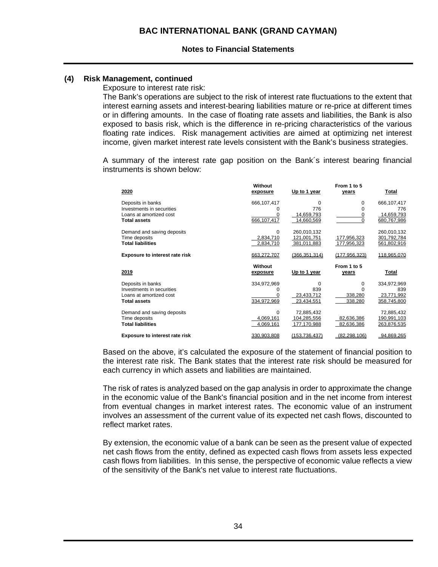### **(4) Risk Management, continued**

Exposure to interest rate risk:

The Bank's operations are subject to the risk of interest rate fluctuations to the extent that interest earning assets and interest-bearing liabilities mature or re-price at different times or in differing amounts. In the case of floating rate assets and liabilities, the Bank is also exposed to basis risk, which is the difference in re-pricing characteristics of the various floating rate indices. Risk management activities are aimed at optimizing net interest income, given market interest rate levels consistent with the Bank's business strategies.

A summary of the interest rate gap position on the Bank´s interest bearing financial instruments is shown below:

| 2020                                           | Without<br>exposure | Up to 1 year  | From 1 to 5<br>years | Total              |
|------------------------------------------------|---------------------|---------------|----------------------|--------------------|
| Deposits in banks                              | 666,107,417         | 0             | 0                    | 666,107,417        |
| Investments in securities                      | O                   | 776           | $\Omega$             | 776                |
| Loans at amortized cost<br><b>Total assets</b> | 0                   | 14,659,793    | 0<br>$\Omega$        | 14,659,793         |
|                                                | 666, 107, 417       | 14,660,569    |                      | 680,767,986        |
| Demand and saving deposits                     | $\Omega$            | 260,010,132   |                      | 260,010,132        |
| Time deposits                                  | 2,834,710           | 121,001,751   | 177,956,323          | 301,792,784        |
| <b>Total liabilities</b>                       | 2,834,710           | 381,011,883   | 177,956,323          | 561,802,916        |
| <b>Exposure to interest rate risk</b>          | 663.272.707         | (366.351.314) | (177.956.323)        | 118,965,070        |
|                                                |                     |               |                      |                    |
|                                                | Without             |               | From 1 to 5          |                    |
| 2019                                           | exposure            | Up to 1 year  | years                | Total              |
|                                                |                     | 0             | 0                    |                    |
| Deposits in banks<br>Investments in securities | 334,972,969<br>0    | 839           | O                    | 334,972,969<br>839 |
| Loans at amortized cost                        |                     | 23,433,712    | 338,280              | 23,771,992         |
| <b>Total assets</b>                            | 334,972,969         | 23,434,551    | 338,280              | 358,745,800        |
|                                                |                     |               |                      |                    |
| Demand and saving deposits                     | $\Omega$            | 72,885,432    |                      | 72,885,432         |
| Time deposits                                  | 4,069,161           | 104,285,556   | 82,636,386           | 190,991,103        |
| <b>Total liabilities</b>                       | 4,069,161           | 177,170,988   | 82,636,386           | 263,876,535        |

Based on the above, it's calculated the exposure of the statement of financial position to the interest rate risk. The Bank states that the interest rate risk should be measured for each currency in which assets and liabilities are maintained.

The risk of rates is analyzed based on the gap analysis in order to approximate the change in the economic value of the Bank's financial position and in the net income from interest from eventual changes in market interest rates. The economic value of an instrument involves an assessment of the current value of its expected net cash flows, discounted to reflect market rates.

By extension, the economic value of a bank can be seen as the present value of expected net cash flows from the entity, defined as expected cash flows from assets less expected cash flows from liabilities. In this sense, the perspective of economic value reflects a view of the sensitivity of the Bank's net value to interest rate fluctuations.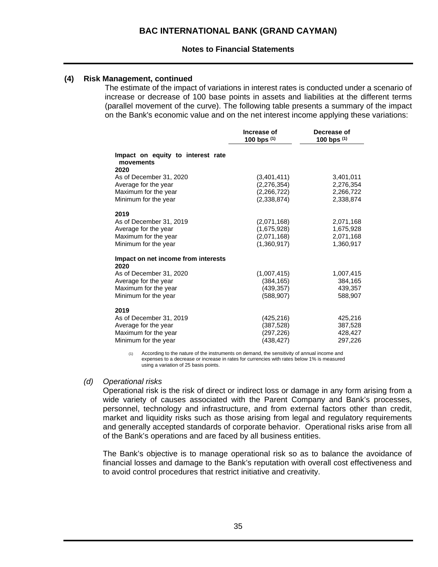### **(4) Risk Management, continued**

The estimate of the impact of variations in interest rates is conducted under a scenario of increase or decrease of 100 base points in assets and liabilities at the different terms (parallel movement of the curve). The following table presents a summary of the impact on the Bank's economic value and on the net interest income applying these variations:

|                                                        | Increase of<br>100 bps $(1)$ | Decrease of<br>100 bps (1) |
|--------------------------------------------------------|------------------------------|----------------------------|
| Impact on equity to interest rate<br>movements<br>2020 |                              |                            |
| As of December 31, 2020                                | (3,401,411)                  | 3,401,011                  |
| Average for the year                                   | (2, 276, 354)                | 2,276,354                  |
| Maximum for the year                                   | (2,266,722)                  | 2,266,722                  |
| Minimum for the year                                   | (2,338,874)                  | 2,338,874                  |
| 2019                                                   |                              |                            |
| As of December 31, 2019                                | (2,071,168)                  | 2,071,168                  |
| Average for the year                                   | (1,675,928)                  | 1,675,928                  |
| Maximum for the year                                   | (2,071,168)                  | 2,071,168                  |
| Minimum for the year                                   | (1,360,917)                  | 1,360,917                  |
| Impact on net income from interests<br>2020            |                              |                            |
| As of December 31, 2020                                | (1,007,415)                  | 1,007,415                  |
| Average for the year                                   | (384,165)                    | 384,165                    |
| Maximum for the year                                   | (439,357)                    | 439,357                    |
| Minimum for the year                                   | (588, 907)                   | 588,907                    |
| 2019                                                   |                              |                            |
| As of December 31, 2019                                | (425,216)                    | 425,216                    |
| Average for the year                                   | (387,528)                    | 387,528                    |
| Maximum for the year                                   | (297, 226)                   | 428,427                    |
| Minimum for the year                                   | (438, 427)                   | 297,226                    |

(1) According to the nature of the instruments on demand, the sensitivity of annual income and expenses to a decrease or increase in rates for currencies with rates below 1% is measured using a variation of 25 basis points.

#### *(d) Operational risks*

Operational risk is the risk of direct or indirect loss or damage in any form arising from a wide variety of causes associated with the Parent Company and Bank's processes, personnel, technology and infrastructure, and from external factors other than credit, market and liquidity risks such as those arising from legal and regulatory requirements and generally accepted standards of corporate behavior. Operational risks arise from all of the Bank's operations and are faced by all business entities.

The Bank's objective is to manage operational risk so as to balance the avoidance of financial losses and damage to the Bank's reputation with overall cost effectiveness and to avoid control procedures that restrict initiative and creativity.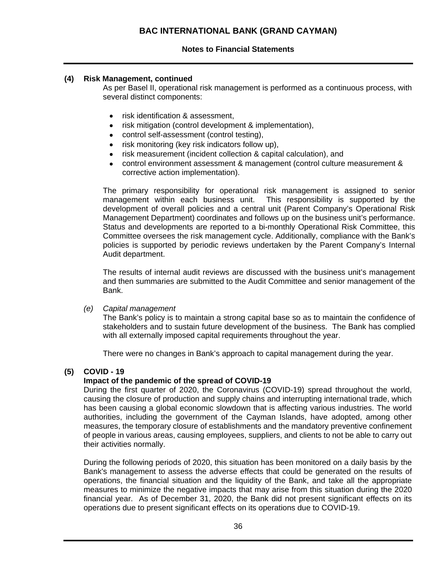### **(4) Risk Management, continued**

As per Basel II, operational risk management is performed as a continuous process, with several distinct components:

- risk identification & assessment,
- risk mitigation (control development & implementation),
- control self-assessment (control testing),
- risk monitoring (key risk indicators follow up),
- risk measurement (incident collection & capital calculation), and
- control environment assessment & management (control culture measurement & corrective action implementation).

The primary responsibility for operational risk management is assigned to senior management within each business unit. This responsibility is supported by the development of overall policies and a central unit (Parent Company's Operational Risk Management Department) coordinates and follows up on the business unit's performance. Status and developments are reported to a bi-monthly Operational Risk Committee, this Committee oversees the risk management cycle. Additionally, compliance with the Bank's policies is supported by periodic reviews undertaken by the Parent Company's Internal Audit department.

The results of internal audit reviews are discussed with the business unit's management and then summaries are submitted to the Audit Committee and senior management of the Bank.

### *(e) Capital management*

The Bank's policy is to maintain a strong capital base so as to maintain the confidence of stakeholders and to sustain future development of the business. The Bank has complied with all externally imposed capital requirements throughout the year.

There were no changes in Bank's approach to capital management during the year.

### **(5) COVID - 19**

### **Impact of the pandemic of the spread of COVID-19**

During the first quarter of 2020, the Coronavirus (COVID-19) spread throughout the world, causing the closure of production and supply chains and interrupting international trade, which has been causing a global economic slowdown that is affecting various industries. The world authorities, including the government of the Cayman Islands, have adopted, among other measures, the temporary closure of establishments and the mandatory preventive confinement of people in various areas, causing employees, suppliers, and clients to not be able to carry out their activities normally.

During the following periods of 2020, this situation has been monitored on a daily basis by the Bank's management to assess the adverse effects that could be generated on the results of operations, the financial situation and the liquidity of the Bank, and take all the appropriate measures to minimize the negative impacts that may arise from this situation during the 2020 financial year. As of December 31, 2020, the Bank did not present significant effects on its operations due to present significant effects on its operations due to COVID-19.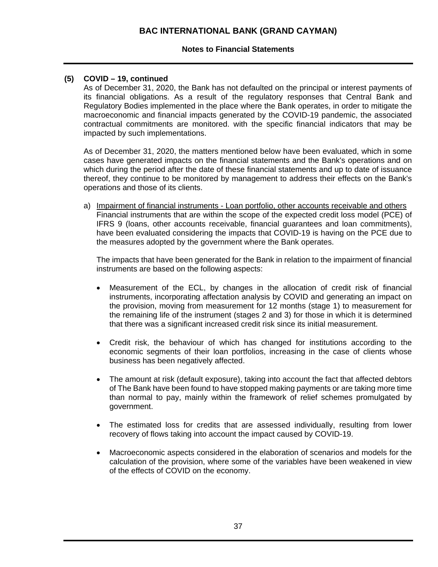### **Notes to Financial Statements**

### **(5) COVID – 19, continued**

As of December 31, 2020, the Bank has not defaulted on the principal or interest payments of its financial obligations. As a result of the regulatory responses that Central Bank and Regulatory Bodies implemented in the place where the Bank operates, in order to mitigate the macroeconomic and financial impacts generated by the COVID-19 pandemic, the associated contractual commitments are monitored. with the specific financial indicators that may be impacted by such implementations.

As of December 31, 2020, the matters mentioned below have been evaluated, which in some cases have generated impacts on the financial statements and the Bank's operations and on which during the period after the date of these financial statements and up to date of issuance thereof, they continue to be monitored by management to address their effects on the Bank's operations and those of its clients.

a) Impairment of financial instruments - Loan portfolio, other accounts receivable and others Financial instruments that are within the scope of the expected credit loss model (PCE) of IFRS 9 (loans, other accounts receivable, financial guarantees and loan commitments), have been evaluated considering the impacts that COVID-19 is having on the PCE due to the measures adopted by the government where the Bank operates.

The impacts that have been generated for the Bank in relation to the impairment of financial instruments are based on the following aspects:

- Measurement of the ECL, by changes in the allocation of credit risk of financial instruments, incorporating affectation analysis by COVID and generating an impact on the provision, moving from measurement for 12 months (stage 1) to measurement for the remaining life of the instrument (stages 2 and 3) for those in which it is determined that there was a significant increased credit risk since its initial measurement.
- Credit risk, the behaviour of which has changed for institutions according to the economic segments of their loan portfolios, increasing in the case of clients whose business has been negatively affected.
- The amount at risk (default exposure), taking into account the fact that affected debtors of The Bank have been found to have stopped making payments or are taking more time than normal to pay, mainly within the framework of relief schemes promulgated by government.
- The estimated loss for credits that are assessed individually, resulting from lower recovery of flows taking into account the impact caused by COVID-19.
- Macroeconomic aspects considered in the elaboration of scenarios and models for the calculation of the provision, where some of the variables have been weakened in view of the effects of COVID on the economy.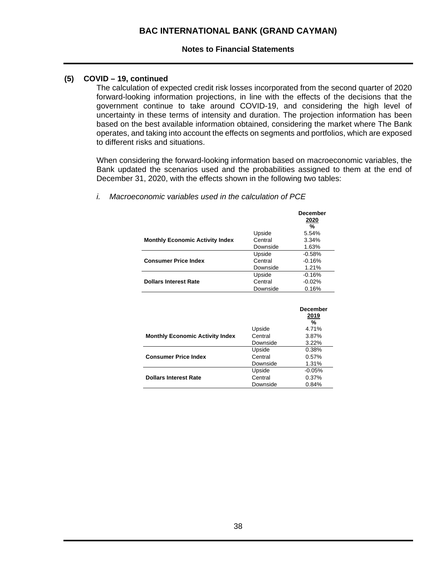## **(5) COVID – 19, continued**

The calculation of expected credit risk losses incorporated from the second quarter of 2020 forward-looking information projections, in line with the effects of the decisions that the government continue to take around COVID-19, and considering the high level of uncertainty in these terms of intensity and duration. The projection information has been based on the best available information obtained, considering the market where The Bank operates, and taking into account the effects on segments and portfolios, which are exposed to different risks and situations.

When considering the forward-looking information based on macroeconomic variables, the Bank updated the scenarios used and the probabilities assigned to them at the end of December 31, 2020, with the effects shown in the following two tables:

|                                        |          | <b>December</b><br>2020<br>% |
|----------------------------------------|----------|------------------------------|
|                                        | Upside   | 5.54%                        |
| <b>Monthly Economic Activity Index</b> | Central  | 3.34%                        |
|                                        | Downside | 1.63%                        |
|                                        | Upside   | $-0.58%$                     |
| <b>Consumer Price Index</b>            | Central  | $-0.16%$                     |
|                                        | Downside | 1.21%                        |
|                                        | Upside   | $-0.16%$                     |
| <b>Dollars Interest Rate</b>           | Central  | $-0.02%$                     |
|                                        | Downside | 0.16%                        |

*i. Macroeconomic variables used in the calculation of PCE* 

|                                        |          | <b>December</b><br><u>2019</u><br>$\%$ |
|----------------------------------------|----------|----------------------------------------|
|                                        | Upside   | 4.71%                                  |
| <b>Monthly Economic Activity Index</b> | Central  | 3.87%                                  |
|                                        | Downside | 3.22%                                  |
|                                        | Upside   | 0.38%                                  |
| <b>Consumer Price Index</b>            | Central  | 0.57%                                  |
|                                        | Downside | 1.31%                                  |
|                                        | Upside   | $-0.05%$                               |
| <b>Dollars Interest Rate</b>           | Central  | 0.37%                                  |
|                                        | Downside | 0.84%                                  |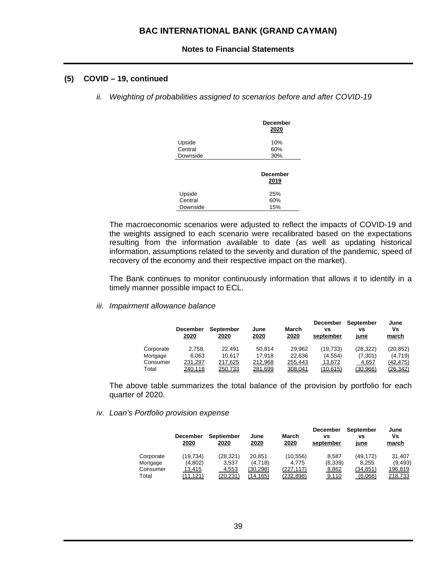### **(5) COVID – 19, continued**

*ii. Weighting of probabilities assigned to scenarios before and after COVID-19* 

|                   | <b>December</b><br>2020 |
|-------------------|-------------------------|
| Upside<br>Central | 10%<br>60%              |
| Downside          | 30%                     |
|                   | <b>December</b><br>2019 |
| Upside            | 25%                     |
| Central           | 60%                     |
| Downside          | 15%                     |

The macroeconomic scenarios were adjusted to reflect the impacts of COVID-19 and the weights assigned to each scenario were recalibrated based on the expectations resulting from the information available to date (as well as updating historical information, assumptions related to the severity and duration of the pandemic, speed of recovery of the economy and their respective impact on the market).

The Bank continues to monitor continuously information that allows it to identify in a timely manner possible impact to ECL.

*iii. Impairment allowance balance* 

|           | <b>December</b><br>2020 | <b>September</b><br>2020 | June<br>2020 | March<br>2020 | <b>December</b><br>٧S<br>september | September<br>٧S<br>june | June<br>٧s<br>march |
|-----------|-------------------------|--------------------------|--------------|---------------|------------------------------------|-------------------------|---------------------|
| Corporate | 2.758.                  | 22.491                   | 50.814       | 29.962        | (19.733)                           | (28, 322)               | (20, 852)           |
| Mortgage  | 6.063                   | 10.617                   | 17.918       | 22.636        | (4, 554)                           | (7,301)                 | (4,719)             |
| Consumer  | 231,297                 | 217.625                  | 212.968      | 255,443       | 13.672                             | 4.657                   | (42, 475)           |
| Total     | 240,118                 | 250,733                  | 281,699      | 308,041       | (10.615)                           | (30, 966)               | <u>(26,342)</u>     |

The above table summarizes the total balance of the provision by portfolio for each quarter of 2020.

*iv. Loan's Portfolio provision expense* 

|           | <b>December</b><br>2020 | <b>Septiember</b><br>2020 | June<br>2020 | March<br>2020    | <b>December</b><br>٧S<br>september | September<br>٧S<br><u>june</u> | June<br>Vs<br>march |
|-----------|-------------------------|---------------------------|--------------|------------------|------------------------------------|--------------------------------|---------------------|
| Corporate | (19, 734)               | (28, 321)                 | 20.851       | (10, 556)        | 8.587                              | (49, 172)                      | 31.407              |
| Mortgage  | (4,802)                 | 3,537                     | (4,718)      | 4.775            | (8,339)                            | 8.255                          | (9, 493)            |
| Consumer  | 13,415                  | 4,553                     | (30,298)     | (227, 117)       | 8,862                              | (34,851)                       | 196,819             |
| Total     | (11,121)                | <u>(20,231)</u>           | (14,165)     | <u>(232,898)</u> | 9,110                              | (6,066)                        | 218,733             |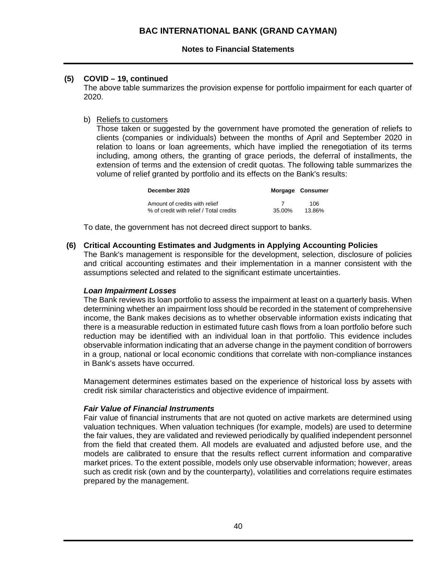### **Notes to Financial Statements**

### **(5) COVID – 19, continued**

The above table summarizes the provision expense for portfolio impairment for each quarter of 2020.

### b) Reliefs to customers

Those taken or suggested by the government have promoted the generation of reliefs to clients (companies or individuals) between the months of April and September 2020 in relation to loans or loan agreements, which have implied the renegotiation of its terms including, among others, the granting of grace periods, the deferral of installments, the extension of terms and the extension of credit quotas. The following table summarizes the volume of relief granted by portfolio and its effects on the Bank's results:

| December 2020                           |        | Morgage Consumer |
|-----------------------------------------|--------|------------------|
| Amount of credits with relief           | 7      | 106              |
| % of credit with relief / Total credits | 35.00% | 13.86%           |

To date, the government has not decreed direct support to banks.

### **(6) Critical Accounting Estimates and Judgments in Applying Accounting Policies**

The Bank's management is responsible for the development, selection, disclosure of policies and critical accounting estimates and their implementation in a manner consistent with the assumptions selected and related to the significant estimate uncertainties.

### *Loan Impairment Losses*

The Bank reviews its loan portfolio to assess the impairment at least on a quarterly basis. When determining whether an impairment loss should be recorded in the statement of comprehensive income, the Bank makes decisions as to whether observable information exists indicating that there is a measurable reduction in estimated future cash flows from a loan portfolio before such reduction may be identified with an individual loan in that portfolio. This evidence includes observable information indicating that an adverse change in the payment condition of borrowers in a group, national or local economic conditions that correlate with non-compliance instances in Bank's assets have occurred.

Management determines estimates based on the experience of historical loss by assets with credit risk similar characteristics and objective evidence of impairment.

### *Fair Value of Financial Instruments*

Fair value of financial instruments that are not quoted on active markets are determined using valuation techniques. When valuation techniques (for example, models) are used to determine the fair values, they are validated and reviewed periodically by qualified independent personnel from the field that created them. All models are evaluated and adjusted before use, and the models are calibrated to ensure that the results reflect current information and comparative market prices. To the extent possible, models only use observable information; however, areas such as credit risk (own and by the counterparty), volatilities and correlations require estimates prepared by the management.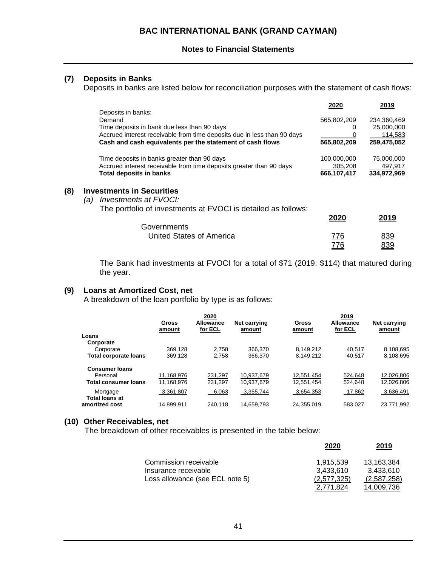### **(7) Deposits in Banks**

Deposits in banks are listed below for reconciliation purposes with the statement of cash flows:

|     |                                                                         | 2020        | 2019        |
|-----|-------------------------------------------------------------------------|-------------|-------------|
|     | Deposits in banks:                                                      |             |             |
|     | Demand                                                                  | 565,802,209 | 234,360,469 |
|     | Time deposits in bank due less than 90 days                             |             | 25,000,000  |
|     | Accrued interest receivable from time deposits due in less than 90 days |             | 114,583     |
|     | Cash and cash equivalents per the statement of cash flows               | 565,802,209 | 259,475,052 |
|     | Time deposits in banks greater than 90 days                             | 100,000,000 | 75,000,000  |
|     | Accrued interest receivable from time deposits greater than 90 days     | 305,208     | 497,917     |
|     | <b>Total deposits in banks</b>                                          | 666.107.417 | 334.972.969 |
| (8) | <b>Investments in Securities</b>                                        |             |             |
|     | <i>Investments at FVOCI:</i><br>(a)                                     |             |             |
|     | The portfolio of investments at FVOCI is detailed as follows:           |             |             |
|     |                                                                         | 2020        | 2019        |
|     | Governments                                                             |             |             |
|     | United States of America                                                | 776         | 839         |
|     |                                                                         | 776         | 839         |

The Bank had investments at FVOCI for a total of \$71 (2019: \$114) that matured during the year.

776 839

#### **(9) Loans at Amortized Cost, net**

A breakdown of the loan portfolio by type is as follows:

|                                         | <b>Gross</b><br>amount | 2020<br>Allowance<br>for ECL | <b>Net carrying</b><br>amount | Gross<br>amount | 2019<br>Allowance<br>for ECL | <b>Net carrying</b><br>amount |
|-----------------------------------------|------------------------|------------------------------|-------------------------------|-----------------|------------------------------|-------------------------------|
| Loans                                   |                        |                              |                               |                 |                              |                               |
| Corporate<br>Corporate                  | 369.128                | 2,758                        | 366.370                       | 8.149.212       | 40,517                       | 8,108,695                     |
| <b>Total corporate loans</b>            | 369.128                | 2.758                        | 366,370                       | 8.149.212       | 40.517                       | 8.108.695                     |
| <b>Consumer Ioans</b>                   |                        |                              |                               |                 |                              |                               |
| Personal                                | 11.168.976             | 231.297                      | 10.937.679                    | 12,551,454      | 524.648                      | 12.026.806                    |
| <b>Total consumer loans</b>             | 11.168.976             | 231.297                      | 10.937.679                    | 12.551.454      | 524.648                      | 12.026.806                    |
| Mortgage                                | 3,361,807              | 6,063                        | 3.355.744                     | 3,654,353       | 17,862                       | 3,636,491                     |
| <b>Total loans at</b><br>amortized cost | 14.899.911             | 240.118                      | 14.659.793                    | 24.355.019      | 583.027                      | 23.771.992                    |

### **(10) Other Receivables, net**

The breakdown of other receivables is presented in the table below:

|                                 | 2020        | 2019        |
|---------------------------------|-------------|-------------|
| Commission receivable           | 1.915.539   | 13.163.384  |
| Insurance receivable            | 3.433.610   | 3.433.610   |
| Loss allowance (see ECL note 5) | (2.577.325) | (2,587,258) |
|                                 |             | 14.009.736  |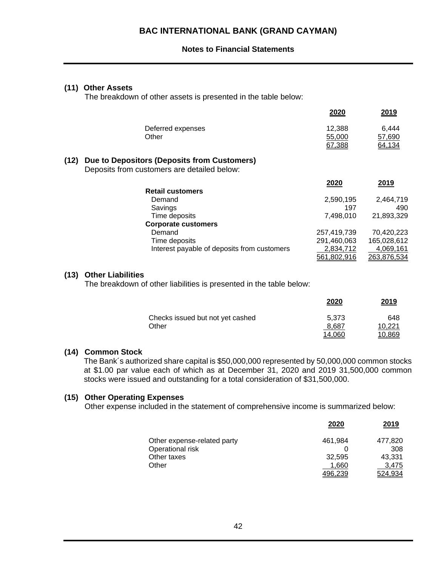### **(11) Other Assets**

The breakdown of other assets is presented in the table below:

|      | Deferred expenses<br>Other                                                                 | 12,388<br>55,000<br>67,388 | 6,444<br>57,690<br>64,134 |
|------|--------------------------------------------------------------------------------------------|----------------------------|---------------------------|
| (12) | Due to Depositors (Deposits from Customers)<br>Deposits from customers are detailed below: |                            |                           |
|      |                                                                                            | 2020                       | 2019                      |
|      | <b>Retail customers</b>                                                                    |                            |                           |
|      | Demand                                                                                     | 2,590,195                  | 2,464,719                 |
|      | Savings                                                                                    | 197                        | 490                       |
|      | Time deposits                                                                              | 7,498,010                  | 21,893,329                |
|      | <b>Corporate customers</b>                                                                 |                            |                           |
|      | Demand                                                                                     | 257,419,739                | 70,420,223                |
|      | Time deposits                                                                              | 291,460,063                | 165,028,612               |
|      | Interest payable of deposits from customers                                                | 2,834,712                  | 4,069,161                 |
|      |                                                                                            | 561,802,916                | 263,876,534               |
|      |                                                                                            |                            |                           |

### **(13) Other Liabilities**

The breakdown of other liabilities is presented in the table below:

|                                  | 2020   | 2019   |
|----------------------------------|--------|--------|
| Checks issued but not yet cashed | 5.373  | 648    |
| Other                            | 8.687  | 10.221 |
|                                  | 14.060 | 10.869 |

**2020 2019** 

### **(14) Common Stock**

The Bank´s authorized share capital is \$50,000,000 represented by 50,000,000 common stocks at \$1.00 par value each of which as at December 31, 2020 and 2019 31,500,000 common stocks were issued and outstanding for a total consideration of \$31,500,000.

### **(15) Other Operating Expenses**

Other expense included in the statement of comprehensive income is summarized below:

|                             | 2020    | 2019    |
|-----------------------------|---------|---------|
| Other expense-related party | 461.984 | 477.820 |
| Operational risk            |         | 308     |
| Other taxes                 | 32.595  | 43.331  |
| Other                       | 1.660   | 3.475   |
|                             | 496.239 | 524.934 |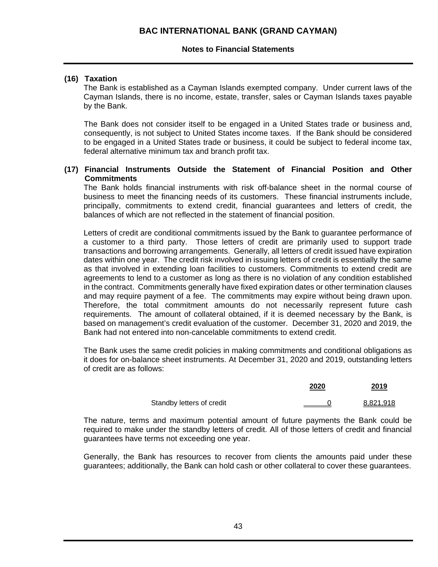### **Notes to Financial Statements**

### **(16) Taxation**

The Bank is established as a Cayman Islands exempted company. Under current laws of the Cayman Islands, there is no income, estate, transfer, sales or Cayman Islands taxes payable by the Bank.

The Bank does not consider itself to be engaged in a United States trade or business and, consequently, is not subject to United States income taxes. If the Bank should be considered to be engaged in a United States trade or business, it could be subject to federal income tax, federal alternative minimum tax and branch profit tax.

### **(17) Financial Instruments Outside the Statement of Financial Position and Other Commitments**

The Bank holds financial instruments with risk off-balance sheet in the normal course of business to meet the financing needs of its customers. These financial instruments include, principally, commitments to extend credit, financial guarantees and letters of credit, the balances of which are not reflected in the statement of financial position.

Letters of credit are conditional commitments issued by the Bank to guarantee performance of a customer to a third party. Those letters of credit are primarily used to support trade transactions and borrowing arrangements. Generally, all letters of credit issued have expiration dates within one year. The credit risk involved in issuing letters of credit is essentially the same as that involved in extending loan facilities to customers. Commitments to extend credit are agreements to lend to a customer as long as there is no violation of any condition established in the contract. Commitments generally have fixed expiration dates or other termination clauses and may require payment of a fee. The commitments may expire without being drawn upon. Therefore, the total commitment amounts do not necessarily represent future cash requirements. The amount of collateral obtained, if it is deemed necessary by the Bank, is based on management's credit evaluation of the customer. December 31, 2020 and 2019, the Bank had not entered into non-cancelable commitments to extend credit.

The Bank uses the same credit policies in making commitments and conditional obligations as it does for on-balance sheet instruments. At December 31, 2020 and 2019, outstanding letters of credit are as follows:

|                           | 2020 | 2019             |
|---------------------------|------|------------------|
| Standby letters of credit |      | <u>8,821,918</u> |

The nature, terms and maximum potential amount of future payments the Bank could be required to make under the standby letters of credit. All of those letters of credit and financial guarantees have terms not exceeding one year.

Generally, the Bank has resources to recover from clients the amounts paid under these guarantees; additionally, the Bank can hold cash or other collateral to cover these guarantees.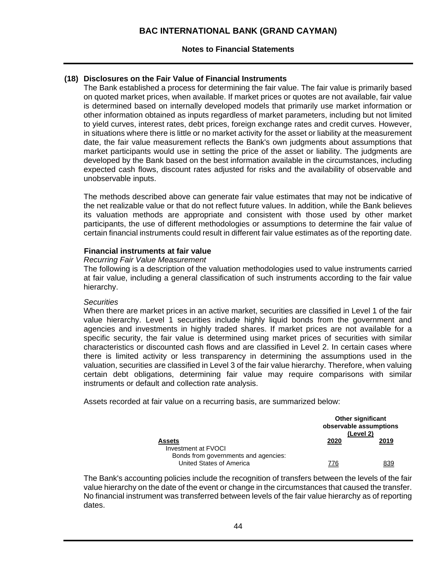### **Notes to Financial Statements**

## **(18) Disclosures on the Fair Value of Financial Instruments**

The Bank established a process for determining the fair value. The fair value is primarily based on quoted market prices, when available. If market prices or quotes are not available, fair value is determined based on internally developed models that primarily use market information or other information obtained as inputs regardless of market parameters, including but not limited to yield curves, interest rates, debt prices, foreign exchange rates and credit curves. However, in situations where there is little or no market activity for the asset or liability at the measurement date, the fair value measurement reflects the Bank's own judgments about assumptions that market participants would use in setting the price of the asset or liability. The judgments are developed by the Bank based on the best information available in the circumstances, including expected cash flows, discount rates adjusted for risks and the availability of observable and unobservable inputs.

The methods described above can generate fair value estimates that may not be indicative of the net realizable value or that do not reflect future values. In addition, while the Bank believes its valuation methods are appropriate and consistent with those used by other market participants, the use of different methodologies or assumptions to determine the fair value of certain financial instruments could result in different fair value estimates as of the reporting date.

### **Financial instruments at fair value**

#### *Recurring Fair Value Measurement*

The following is a description of the valuation methodologies used to value instruments carried at fair value, including a general classification of such instruments according to the fair value hierarchy.

#### *Securities*

When there are market prices in an active market, securities are classified in Level 1 of the fair value hierarchy. Level 1 securities include highly liquid bonds from the government and agencies and investments in highly traded shares. If market prices are not available for a specific security, the fair value is determined using market prices of securities with similar characteristics or discounted cash flows and are classified in Level 2. In certain cases where there is limited activity or less transparency in determining the assumptions used in the valuation, securities are classified in Level 3 of the fair value hierarchy. Therefore, when valuing certain debt obligations, determining fair value may require comparisons with similar instruments or default and collection rate analysis.

Assets recorded at fair value on a recurring basis, are summarized below:

|                                                                              | <b>Other significant</b><br>observable assumptions<br>(Level 2) |      |  |
|------------------------------------------------------------------------------|-----------------------------------------------------------------|------|--|
| <b>Assets</b><br>Investment at FVOCI<br>Bonds from governments and agencies: | 2020                                                            | 2019 |  |
| United States of America                                                     | 776                                                             | 839  |  |

The Bank's accounting policies include the recognition of transfers between the levels of the fair value hierarchy on the date of the event or change in the circumstances that caused the transfer. No financial instrument was transferred between levels of the fair value hierarchy as of reporting dates.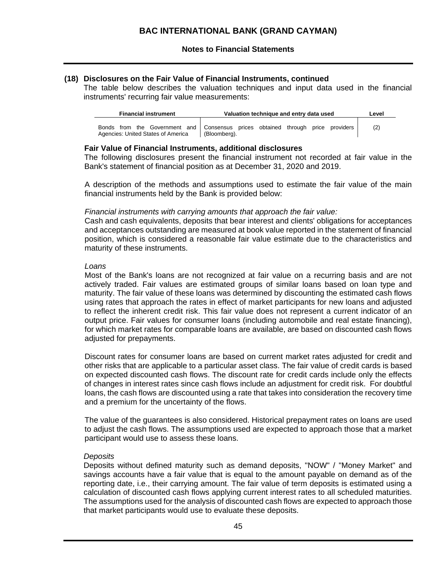### **(18) Disclosures on the Fair Value of Financial Instruments, continued**

The table below describes the valuation techniques and input data used in the financial instruments' recurring fair value measurements:

| <b>Financial instrument</b>        | Valuation technique and entry data used                                                         | Level |
|------------------------------------|-------------------------------------------------------------------------------------------------|-------|
| Agencies: United States of America | Bonds from the Government and Consensus prices obtained through price providers<br>(Bloombera). | (2)   |

### **Fair Value of Financial Instruments, additional disclosures**

The following disclosures present the financial instrument not recorded at fair value in the Bank's statement of financial position as at December 31, 2020 and 2019.

A description of the methods and assumptions used to estimate the fair value of the main financial instruments held by the Bank is provided below:

### *Financial instruments with carrying amounts that approach the fair value:*

Cash and cash equivalents, deposits that bear interest and clients' obligations for acceptances and acceptances outstanding are measured at book value reported in the statement of financial position, which is considered a reasonable fair value estimate due to the characteristics and maturity of these instruments.

### *Loans*

Most of the Bank's loans are not recognized at fair value on a recurring basis and are not actively traded. Fair values are estimated groups of similar loans based on loan type and maturity. The fair value of these loans was determined by discounting the estimated cash flows using rates that approach the rates in effect of market participants for new loans and adjusted to reflect the inherent credit risk. This fair value does not represent a current indicator of an output price. Fair values for consumer loans (including automobile and real estate financing), for which market rates for comparable loans are available, are based on discounted cash flows adjusted for prepayments.

Discount rates for consumer loans are based on current market rates adjusted for credit and other risks that are applicable to a particular asset class. The fair value of credit cards is based on expected discounted cash flows. The discount rate for credit cards include only the effects of changes in interest rates since cash flows include an adjustment for credit risk. For doubtful loans, the cash flows are discounted using a rate that takes into consideration the recovery time and a premium for the uncertainty of the flows.

The value of the guarantees is also considered. Historical prepayment rates on loans are used to adjust the cash flows. The assumptions used are expected to approach those that a market participant would use to assess these loans.

### *Deposits*

Deposits without defined maturity such as demand deposits, "NOW" / "Money Market" and savings accounts have a fair value that is equal to the amount payable on demand as of the reporting date, i.e., their carrying amount. The fair value of term deposits is estimated using a calculation of discounted cash flows applying current interest rates to all scheduled maturities. The assumptions used for the analysis of discounted cash flows are expected to approach those that market participants would use to evaluate these deposits.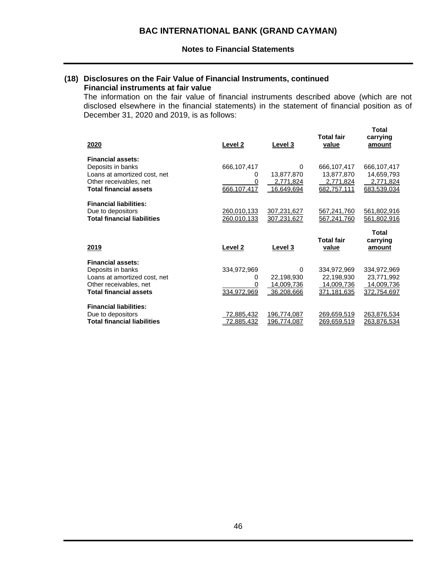### **(18) Disclosures on the Fair Value of Financial Instruments, continued Financial instruments at fair value**

The information on the fair value of financial instruments described above (which are not disclosed elsewhere in the financial statements) in the statement of financial position as of December 31, 2020 and 2019, is as follows:

| <u>2020</u>                                                                                                                              | Level 2                                     | Level 3                                     | Total fair<br>value                                    | <b>Total</b><br>carrying<br>amount                     |
|------------------------------------------------------------------------------------------------------------------------------------------|---------------------------------------------|---------------------------------------------|--------------------------------------------------------|--------------------------------------------------------|
| <b>Financial assets:</b><br>Deposits in banks<br>Loans at amortized cost, net<br>Other receivables, net<br><b>Total financial assets</b> | 666,107,417<br>0<br>$\Omega$<br>666.107.417 | 0<br>13,877,870<br>2,771,824<br>16,649,694  | 666,107,417<br>13,877,870<br>2,771,824<br>682,757,111  | 666,107,417<br>14,659,793<br>2,771,824<br>683,539,034  |
| <b>Financial liabilities:</b><br>Due to depositors<br><b>Total financial liabilities</b>                                                 | 260,010,133<br>260,010,133                  | 307,231,627<br>307,231,627                  | 567,241,760<br>567,241,760                             | 561,802,916<br>561,802,916                             |
|                                                                                                                                          |                                             |                                             |                                                        |                                                        |
| 2019                                                                                                                                     | Level 2                                     | Level 3                                     | <b>Total fair</b><br>value                             | Total<br>carrying<br>amount                            |
| <b>Financial assets:</b><br>Deposits in banks<br>Loans at amortized cost, net<br>Other receivables, net<br><b>Total financial assets</b> | 334,972,969<br>0<br>0<br>334,972,969        | 0<br>22,198,930<br>14,009,736<br>36,208,666 | 334,972,969<br>22,198,930<br>14,009,736<br>371,181,635 | 334,972,969<br>23,771,992<br>14,009,736<br>372,754,697 |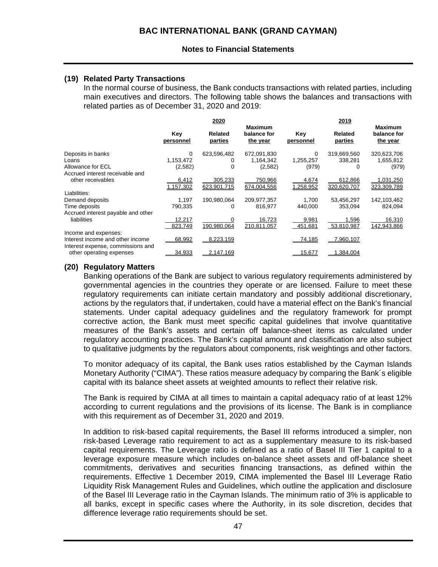### **(19) Related Party Transactions**

In the normal course of business, the Bank conducts transactions with related parties, including main executives and directors. The following table shows the balances and transactions with related parties as of December 31, 2020 and 2019:

|                                    | 2020             |                    |                                           | 2019             |                           |                                           |
|------------------------------------|------------------|--------------------|-------------------------------------------|------------------|---------------------------|-------------------------------------------|
|                                    | Key<br>personnel | Related<br>parties | <b>Maximum</b><br>balance for<br>the year | Key<br>personnel | <b>Related</b><br>parties | <b>Maximum</b><br>balance for<br>the year |
| Deposits in banks                  | 0                | 623,596,482        | 672,091,830                               | 0                | 319,669,560               | 320,623,706                               |
| Loans                              | 1,153,472        | 0                  | 1,164,342                                 | 1,255,257        | 338,281                   | 1,655,812                                 |
| Allowance for ECL                  | (2,582)          | $\Omega$           | (2,582)                                   | (979)            | 0                         | (979)                                     |
| Accrued interest receivable and    |                  |                    |                                           |                  |                           |                                           |
| other receivables                  | 6,412            | 305,233            | 750,966                                   | 4,674            | 612,866                   | 1,031,250                                 |
|                                    | 1.157.302        | 623.901.715        | 674.004.556                               | 1.258.952        | 320.620.707               | 323.309.789                               |
| Liabilities:                       |                  |                    |                                           |                  |                           |                                           |
| Demand deposits                    | 1,197            | 190,980,064        | 209,977,357                               | 1.700            | 53,456,297                | 142,103,462                               |
| Time deposits                      | 790,335          | 0                  | 816,977                                   | 440,000          | 353,094                   | 824,094                                   |
| Accrued interest payable and other |                  |                    |                                           |                  |                           |                                           |
| liabilities                        | 12,217           | $\Omega$           | 16,723                                    | 9,981            | 1,596                     | 16,310                                    |
|                                    | 823.749          | 190.980.064        | 210.811.057                               | 451.681          | 53.810.987                | 142.943.866                               |
| Income and expenses:               |                  |                    |                                           |                  |                           |                                           |
| Interest income and other income   | 68,992           | 8,223,159          |                                           | 74,185           | 7,960,107                 |                                           |
| Interest expense, commissions and  |                  |                    |                                           |                  |                           |                                           |
| other operating expenses           | 34,933           | 2,147,169          |                                           | 15,677           | 1.384.004                 |                                           |

### **(20) Regulatory Matters**

Banking operations of the Bank are subject to various regulatory requirements administered by governmental agencies in the countries they operate or are licensed. Failure to meet these regulatory requirements can initiate certain mandatory and possibly additional discretionary, actions by the regulators that, if undertaken, could have a material effect on the Bank's financial statements. Under capital adequacy guidelines and the regulatory framework for prompt corrective action, the Bank must meet specific capital guidelines that involve quantitative measures of the Bank's assets and certain off balance-sheet items as calculated under regulatory accounting practices. The Bank's capital amount and classification are also subject to qualitative judgments by the regulators about components, risk weightings and other factors.

To monitor adequacy of its capital, the Bank uses ratios established by the Cayman Islands Monetary Authority ("CIMA"). These ratios measure adequacy by comparing the Bank´s eligible capital with its balance sheet assets at weighted amounts to reflect their relative risk.

The Bank is required by CIMA at all times to maintain a capital adequacy ratio of at least 12% according to current regulations and the provisions of its license. The Bank is in compliance with this requirement as of December 31, 2020 and 2019.

In addition to risk-based capital requirements, the Basel III reforms introduced a simpler, non risk-based Leverage ratio requirement to act as a supplementary measure to its risk-based capital requirements. The Leverage ratio is defined as a ratio of Basel III Tier 1 capital to a leverage exposure measure which includes on-balance sheet assets and off-balance sheet commitments, derivatives and securities financing transactions, as defined within the requirements. Effective 1 December 2019, CIMA implemented the Basel III Leverage Ratio Liquidity Risk Management Rules and Guidelines, which outline the application and disclosure of the Basel III Leverage ratio in the Cayman Islands. The minimum ratio of 3% is applicable to all banks, except in specific cases where the Authority, in its sole discretion, decides that difference leverage ratio requirements should be set.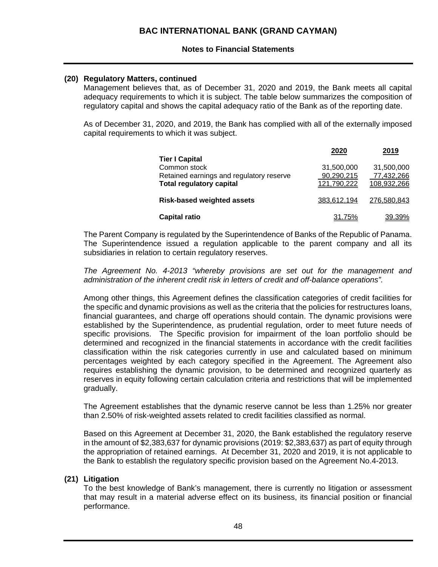### **Notes to Financial Statements**

### **(20) Regulatory Matters, continued**

Management believes that, as of December 31, 2020 and 2019, the Bank meets all capital adequacy requirements to which it is subject. The table below summarizes the composition of regulatory capital and shows the capital adequacy ratio of the Bank as of the reporting date.

As of December 31, 2020, and 2019, the Bank has complied with all of the externally imposed capital requirements to which it was subject.

| <b>Tier I Capital</b>                                                                       | 2020                                    | 2019                                    |
|---------------------------------------------------------------------------------------------|-----------------------------------------|-----------------------------------------|
| Common stock<br>Retained earnings and regulatory reserve<br><b>Total regulatory capital</b> | 31,500,000<br>90,290,215<br>121,790,222 | 31,500,000<br>77,432,266<br>108,932,266 |
| <b>Risk-based weighted assets</b>                                                           | 383,612,194                             | 276,580,843                             |
| <b>Capital ratio</b>                                                                        | 31.75%                                  | 39.39%                                  |

The Parent Company is regulated by the Superintendence of Banks of the Republic of Panama. The Superintendence issued a regulation applicable to the parent company and all its subsidiaries in relation to certain regulatory reserves.

*The Agreement No. 4-2013 "whereby provisions are set out for the management and administration of the inherent credit risk in letters of credit and off-balance operations".* 

Among other things, this Agreement defines the classification categories of credit facilities for the specific and dynamic provisions as well as the criteria that the policies for restructures loans, financial guarantees, and charge off operations should contain. The dynamic provisions were established by the Superintendence, as prudential regulation, order to meet future needs of specific provisions. The Specific provision for impairment of the loan portfolio should be determined and recognized in the financial statements in accordance with the credit facilities classification within the risk categories currently in use and calculated based on minimum percentages weighted by each category specified in the Agreement. The Agreement also requires establishing the dynamic provision, to be determined and recognized quarterly as reserves in equity following certain calculation criteria and restrictions that will be implemented gradually.

The Agreement establishes that the dynamic reserve cannot be less than 1.25% nor greater than 2.50% of risk-weighted assets related to credit facilities classified as normal.

Based on this Agreement at December 31, 2020, the Bank established the regulatory reserve in the amount of \$2,383,637 for dynamic provisions (2019: \$2,383,637) as part of equity through the appropriation of retained earnings. At December 31, 2020 and 2019, it is not applicable to the Bank to establish the regulatory specific provision based on the Agreement No.4-2013.

### **(21) Litigation**

To the best knowledge of Bank's management, there is currently no litigation or assessment that may result in a material adverse effect on its business, its financial position or financial performance.